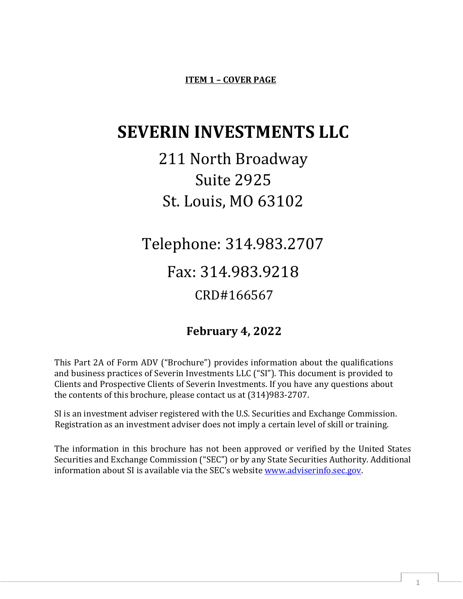**ITEM 1 – COVER PAGE**

# **SEVERIN INVESTMENTS LLC**

# 211 North Broadway Suite 2925 St. Louis, MO 63102

Telephone: 314.983.2707 Fax: 314.983.9218

# CRD#166567

# **February 4, 2022**

This Part 2A of Form ADV ("Brochure") provides information about the qualifications and business practices of Severin Investments LLC ("SI"). This document is provided to Clients and Prospective Clients of Severin Investments. If you have any questions about the contents of this brochure, please contact us at (314)983-2707.

SI is an investment adviser registered with the U.S. Securities and Exchange Commission. Registration as an investment adviser does not imply a certain level of skill or training.

The information in this brochure has not been approved or verified by the United States Securities and Exchange Commission ("SEC") or by any State Securities Authority. Additional information about SI is available via the SEC's website [www.adviserinfo.sec.gov.](http://www.adviserinfo.sec.gov/)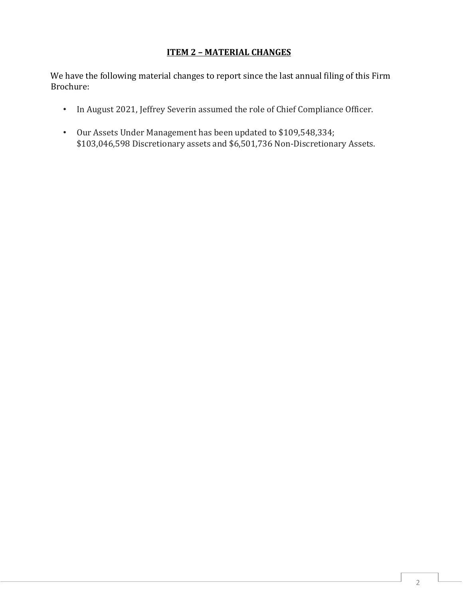### **ITEM 2 – MATERIAL CHANGES**

We have the following material changes to report since the last annual filing of this Firm Brochure:

- In August 2021, Jeffrey Severin assumed the role of Chief Compliance Officer.
- Our Assets Under Management has been updated to \$109,548,334; \$103,046,598 Discretionary assets and \$6,501,736 Non-Discretionary Assets.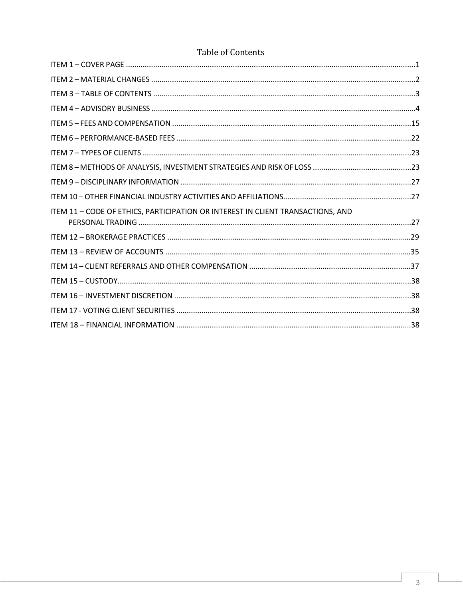# Table of Contents

| ITEM 11 - CODE OF ETHICS, PARTICIPATION OR INTEREST IN CLIENT TRANSACTIONS, AND |  |
|---------------------------------------------------------------------------------|--|
|                                                                                 |  |
|                                                                                 |  |
|                                                                                 |  |
|                                                                                 |  |
|                                                                                 |  |
|                                                                                 |  |
|                                                                                 |  |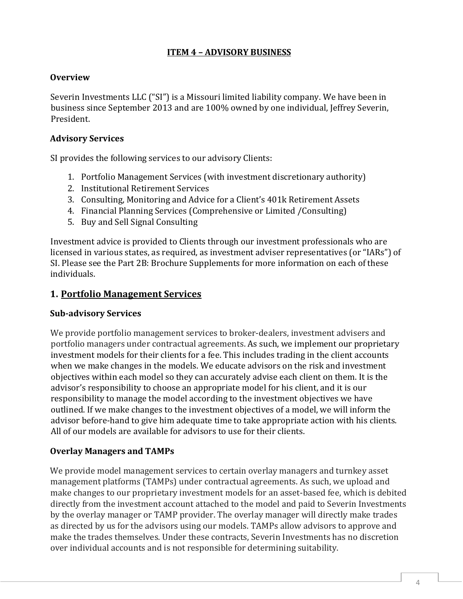### **ITEM 4 – ADVISORY BUSINESS**

#### **Overview**

Severin Investments LLC ("SI") is a Missouri limited liability company. We have been in business since September 2013 and are 100% owned by one individual, Jeffrey Severin, President.

#### **Advisory Services**

SI provides the following services to our advisory Clients:

- 1. Portfolio Management Services (with investment discretionary authority)
- 2. Institutional Retirement Services
- 3. Consulting, Monitoring and Advice for a Client's 401k Retirement Assets
- 4. Financial Planning Services (Comprehensive or Limited /Consulting)
- 5. Buy and Sell Signal Consulting

Investment advice is provided to Clients through our investment professionals who are licensed in various states, as required, as investment adviser representatives (or "IARs") of SI. Please see the Part 2B: Brochure Supplements for more information on each of these individuals.

#### **1. Portfolio Management Services**

#### **Sub-advisory Services**

We provide portfolio management services to broker-dealers, investment advisers and portfolio managers under contractual agreements. As such, we implement our proprietary investment models for their clients for a fee. This includes trading in the client accounts when we make changes in the models. We educate advisors on the risk and investment objectives within each model so they can accurately advise each client on them. It is the advisor's responsibility to choose an appropriate model for his client, and it is our responsibility to manage the model according to the investment objectives we have outlined. If we make changes to the investment objectives of a model, we will inform the advisor before-hand to give him adequate time to take appropriate action with his clients. All of our models are available for advisors to use for their clients.

#### **Overlay Managers and TAMPs**

We provide model management services to certain overlay managers and turnkey asset management platforms (TAMPs) under contractual agreements. As such, we upload and make changes to our proprietary investment models for an asset-based fee, which is debited directly from the investment account attached to the model and paid to Severin Investments by the overlay manager or TAMP provider. The overlay manager will directly make trades as directed by us for the advisors using our models. TAMPs allow advisors to approve and make the trades themselves. Under these contracts, Severin Investments has no discretion over individual accounts and is not responsible for determining suitability.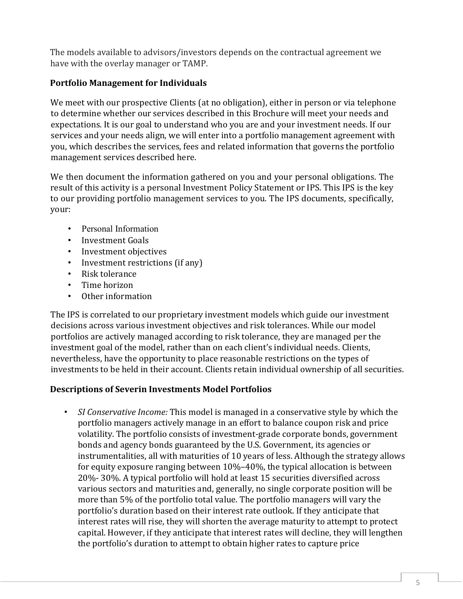The models available to advisors/investors depends on the contractual agreement we have with the overlay manager or TAMP.

## **Portfolio Management for Individuals**

We meet with our prospective Clients (at no obligation), either in person or via telephone to determine whether our services described in this Brochure will meet your needs and expectations. It is our goal to understand who you are and your investment needs. If our services and your needs align, we will enter into a portfolio management agreement with you, which describes the services, fees and related information that governs the portfolio management services described here.

We then document the information gathered on you and your personal obligations. The result of this activity is a personal Investment Policy Statement or IPS. This IPS is the key to our providing portfolio management services to you. The IPS documents, specifically, your:

- Personal Information
- Investment Goals
- Investment objectives
- Investment restrictions (if any)
- Risk tolerance<br>• Time horizon
- Time horizon
- Other information

The IPS is correlated to our proprietary investment models which guide our investment decisions across various investment objectives and risk tolerances. While our model portfolios are actively managed according to risk tolerance, they are managed per the investment goal of the model, rather than on each client's individual needs. Clients, nevertheless, have the opportunity to place reasonable restrictions on the types of investments to be held in their account. Clients retain individual ownership of all securities.

#### **Descriptions of Severin Investments Model Portfolios**

• *SI Conservative Income:* This model is managed in a conservative style by which the portfolio managers actively manage in an effort to balance coupon risk and price volatility. The portfolio consists of investment-grade corporate bonds, government bonds and agency bonds guaranteed by the U.S. Government, its agencies or instrumentalities, all with maturities of 10 years of less. Although the strategy allows for equity exposure ranging between 10%–40%, the typical allocation is between 20%- 30%. A typical portfolio will hold at least 15 securities diversified across various sectors and maturities and, generally, no single corporate position will be more than 5% of the portfolio total value. The portfolio managers will vary the portfolio's duration based on their interest rate outlook. If they anticipate that interest rates will rise, they will shorten the average maturity to attempt to protect capital. However, if they anticipate that interest rates will decline, they will lengthen the portfolio's duration to attempt to obtain higher rates to capture price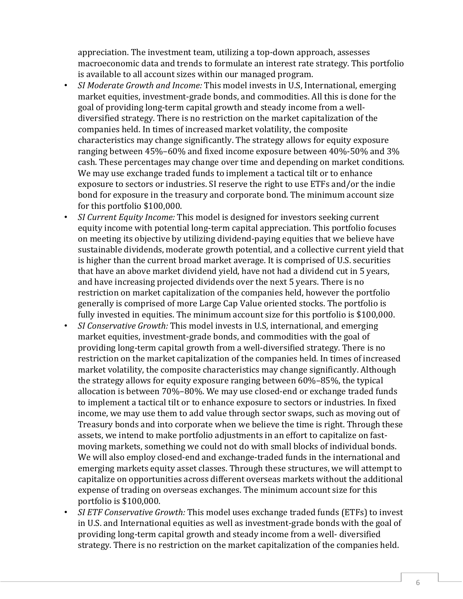appreciation. The investment team, utilizing a top-down approach, assesses macroeconomic data and trends to formulate an interest rate strategy. This portfolio is available to all account sizes within our managed program.

- *SI Moderate Growth and Income:* This model invests in U.S, International, emerging market equities, investment-grade bonds, and commodities. All this is done for the goal of providing long-term capital growth and steady income from a welldiversified strategy. There is no restriction on the market capitalization of the companies held. In times of increased market volatility, the composite characteristics may change significantly. The strategy allows for equity exposure ranging between 45%–60% and fixed income exposure between 40%-50% and 3% cash. These percentages may change over time and depending on market conditions. We may use exchange traded funds to implement a tactical tilt or to enhance exposure to sectors or industries. SI reserve the right to use ETFs and/or the indie bond for exposure in the treasury and corporate bond. The minimum account size for this portfolio \$100,000.
- *SI Current Equity Income:* This model is designed for investors seeking current equity income with potential long-term capital appreciation. This portfolio focuses on meeting its objective by utilizing dividend-paying equities that we believe have sustainable dividends, moderate growth potential, and a collective current yield that is higher than the current broad market average. It is comprised of U.S. securities that have an above market dividend yield, have not had a dividend cut in 5 years, and have increasing projected dividends over the next 5 years. There is no restriction on market capitalization of the companies held, however the portfolio generally is comprised of more Large Cap Value oriented stocks. The portfolio is fully invested in equities. The minimum account size for this portfolio is \$100,000.
- *SI Conservative Growth:* This model invests in U.S, international, and emerging market equities, investment-grade bonds, and commodities with the goal of providing long-term capital growth from a well-diversified strategy. There is no restriction on the market capitalization of the companies held. In times of increased market volatility, the composite characteristics may change significantly. Although the strategy allows for equity exposure ranging between 60%–85%, the typical allocation is between 70%–80%. We may use closed-end or exchange traded funds to implement a tactical tilt or to enhance exposure to sectors or industries. In fixed income, we may use them to add value through sector swaps, such as moving out of Treasury bonds and into corporate when we believe the time is right. Through these assets, we intend to make portfolio adjustments in an effort to capitalize on fastmoving markets, something we could not do with small blocks of individual bonds. We will also employ closed-end and exchange-traded funds in the international and emerging markets equity asset classes. Through these structures, we will attempt to capitalize on opportunities across different overseas markets without the additional expense of trading on overseas exchanges. The minimum account size for this portfolio is \$100,000.
- *SI ETF Conservative Growth:* This model uses exchange traded funds (ETFs) to invest in U.S. and International equities as well as investment-grade bonds with the goal of providing long-term capital growth and steady income from a well- diversified strategy. There is no restriction on the market capitalization of the companies held.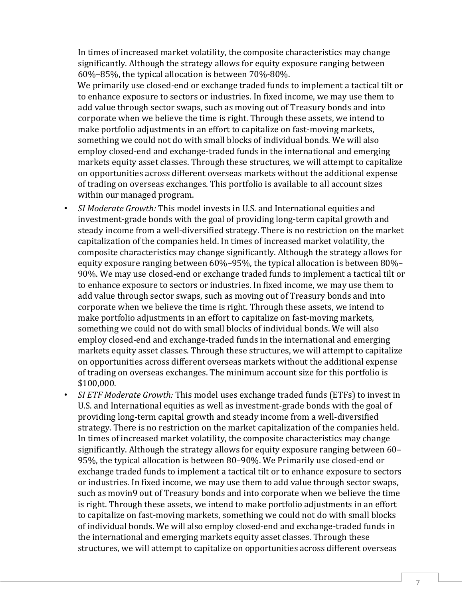In times of increased market volatility, the composite characteristics may change significantly. Although the strategy allows for equity exposure ranging between 60%–85%, the typical allocation is between 70%-80%.

We primarily use closed-end or exchange traded funds to implement a tactical tilt or to enhance exposure to sectors or industries. In fixed income, we may use them to add value through sector swaps, such as moving out of Treasury bonds and into corporate when we believe the time is right. Through these assets, we intend to make portfolio adjustments in an effort to capitalize on fast-moving markets, something we could not do with small blocks of individual bonds. We will also employ closed-end and exchange-traded funds in the international and emerging markets equity asset classes. Through these structures, we will attempt to capitalize on opportunities across different overseas markets without the additional expense of trading on overseas exchanges. This portfolio is available to all account sizes within our managed program.

- *SI Moderate Growth:* This model invests in U.S. and International equities and investment-grade bonds with the goal of providing long-term capital growth and steady income from a well-diversified strategy. There is no restriction on the market capitalization of the companies held. In times of increased market volatility, the composite characteristics may change significantly. Although the strategy allows for equity exposure ranging between 60%–95%, the typical allocation is between 80%– 90%. We may use closed-end or exchange traded funds to implement a tactical tilt or to enhance exposure to sectors or industries. In fixed income, we may use them to add value through sector swaps, such as moving out of Treasury bonds and into corporate when we believe the time is right. Through these assets, we intend to make portfolio adjustments in an effort to capitalize on fast-moving markets, something we could not do with small blocks of individual bonds. We will also employ closed-end and exchange-traded funds in the international and emerging markets equity asset classes. Through these structures, we will attempt to capitalize on opportunities across different overseas markets without the additional expense of trading on overseas exchanges. The minimum account size for this portfolio is \$100,000.
- *SI ETF Moderate Growth:* This model uses exchange traded funds (ETFs) to invest in U.S. and International equities as well as investment-grade bonds with the goal of providing long-term capital growth and steady income from a well-diversified strategy. There is no restriction on the market capitalization of the companies held. In times of increased market volatility, the composite characteristics may change significantly. Although the strategy allows for equity exposure ranging between 60– 95%, the typical allocation is between 80–90%. We Primarily use closed-end or exchange traded funds to implement a tactical tilt or to enhance exposure to sectors or industries. In fixed income, we may use them to add value through sector swaps, such as movin9 out of Treasury bonds and into corporate when we believe the time is right. Through these assets, we intend to make portfolio adjustments in an effort to capitalize on fast-moving markets, something we could not do with small blocks of individual bonds. We will also employ closed-end and exchange-traded funds in the international and emerging markets equity asset classes. Through these structures, we will attempt to capitalize on opportunities across different overseas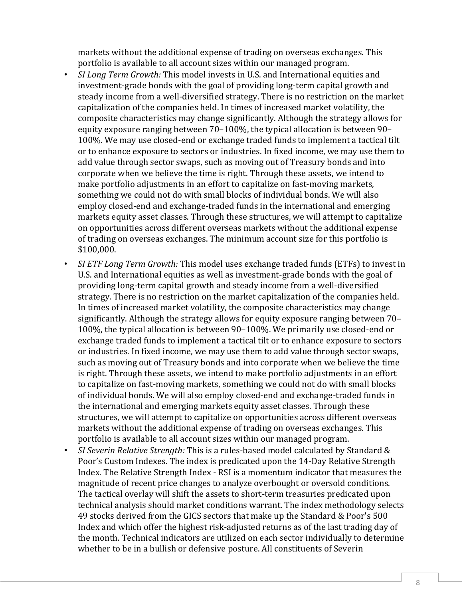markets without the additional expense of trading on overseas exchanges. This portfolio is available to all account sizes within our managed program.

- *SI Long Term Growth:* This model invests in U.S. and International equities and investment-grade bonds with the goal of providing long-term capital growth and steady income from a well-diversified strategy. There is no restriction on the market capitalization of the companies held. In times of increased market volatility, the composite characteristics may change significantly. Although the strategy allows for equity exposure ranging between 70–100%, the typical allocation is between 90– 100%. We may use closed-end or exchange traded funds to implement a tactical tilt or to enhance exposure to sectors or industries. In fixed income, we may use them to add value through sector swaps, such as moving out of Treasury bonds and into corporate when we believe the time is right. Through these assets, we intend to make portfolio adjustments in an effort to capitalize on fast-moving markets, something we could not do with small blocks of individual bonds. We will also employ closed-end and exchange-traded funds in the international and emerging markets equity asset classes. Through these structures, we will attempt to capitalize on opportunities across different overseas markets without the additional expense of trading on overseas exchanges. The minimum account size for this portfolio is \$100,000.
- *SI ETF Long Term Growth:* This model uses exchange traded funds (ETFs) to invest in U.S. and International equities as well as investment-grade bonds with the goal of providing long-term capital growth and steady income from a well-diversified strategy. There is no restriction on the market capitalization of the companies held. In times of increased market volatility, the composite characteristics may change significantly. Although the strategy allows for equity exposure ranging between 70– 100%, the typical allocation is between 90–100%. We primarily use closed-end or exchange traded funds to implement a tactical tilt or to enhance exposure to sectors or industries. In fixed income, we may use them to add value through sector swaps, such as moving out of Treasury bonds and into corporate when we believe the time is right. Through these assets, we intend to make portfolio adjustments in an effort to capitalize on fast-moving markets, something we could not do with small blocks of individual bonds. We will also employ closed-end and exchange-traded funds in the international and emerging markets equity asset classes. Through these structures, we will attempt to capitalize on opportunities across different overseas markets without the additional expense of trading on overseas exchanges. This portfolio is available to all account sizes within our managed program.
- *SI Severin Relative Strength:* This is a rules-based model calculated by Standard & Poor's Custom Indexes. The index is predicated upon the 14-Day Relative Strength Index. The Relative Strength Index - RSI is a momentum indicator that measures the magnitude of recent price changes to analyze overbought or oversold conditions. The tactical overlay will shift the assets to short-term treasuries predicated upon technical analysis should market conditions warrant. The index methodology selects 49 stocks derived from the GICS sectors that make up the Standard & Poor's 500 Index and which offer the highest risk-adjusted returns as of the last trading day of the month. Technical indicators are utilized on each sector individually to determine whether to be in a bullish or defensive posture. All constituents of Severin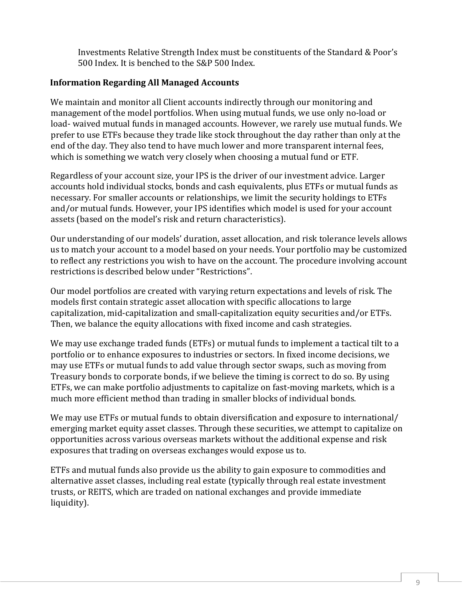Investments Relative Strength Index must be constituents of the Standard & Poor's 500 Index. It is benched to the S&P 500 Index.

#### **Information Regarding All Managed Accounts**

We maintain and monitor all Client accounts indirectly through our monitoring and management of the model portfolios. When using mutual funds, we use only no-load or load- waived mutual funds in managed accounts. However, we rarely use mutual funds. We prefer to use ETFs because they trade like stock throughout the day rather than only at the end of the day. They also tend to have much lower and more transparent internal fees, which is something we watch very closely when choosing a mutual fund or ETF.

Regardless of your account size, your IPS is the driver of our investment advice. Larger accounts hold individual stocks, bonds and cash equivalents, plus ETFs or mutual funds as necessary. For smaller accounts or relationships, we limit the security holdings to ETFs and/or mutual funds. However, your IPS identifies which model is used for your account assets (based on the model's risk and return characteristics).

Our understanding of our models' duration, asset allocation, and risk tolerance levels allows us to match your account to a model based on your needs. Your portfolio may be customized to reflect any restrictions you wish to have on the account. The procedure involving account restrictions is described below under "Restrictions".

Our model portfolios are created with varying return expectations and levels of risk. The models first contain strategic asset allocation with specific allocations to large capitalization, mid-capitalization and small-capitalization equity securities and/or ETFs. Then, we balance the equity allocations with fixed income and cash strategies.

We may use exchange traded funds (ETFs) or mutual funds to implement a tactical tilt to a portfolio or to enhance exposures to industries or sectors. In fixed income decisions, we may use ETFs or mutual funds to add value through sector swaps, such as moving from Treasury bonds to corporate bonds, if we believe the timing is correct to do so. By using ETFs, we can make portfolio adjustments to capitalize on fast-moving markets, which is a much more efficient method than trading in smaller blocks of individual bonds.

We may use ETFs or mutual funds to obtain diversification and exposure to international/ emerging market equity asset classes. Through these securities, we attempt to capitalize on opportunities across various overseas markets without the additional expense and risk exposures that trading on overseas exchanges would expose us to.

ETFs and mutual funds also provide us the ability to gain exposure to commodities and alternative asset classes, including real estate (typically through real estate investment trusts, or REITS, which are traded on national exchanges and provide immediate liquidity).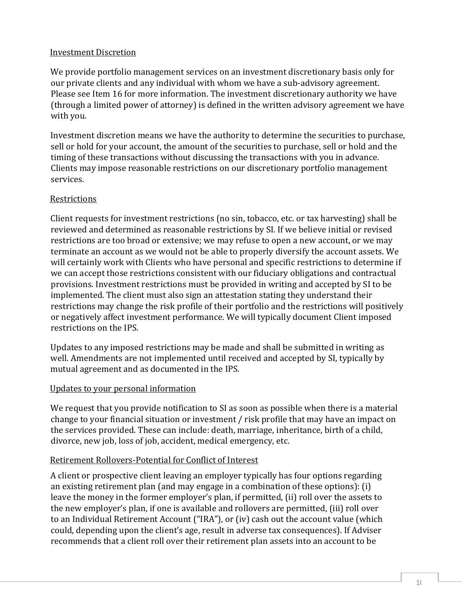#### Investment Discretion

We provide portfolio management services on an investment discretionary basis only for our private clients and any individual with whom we have a sub-advisory agreement. Please see Item 16 for more information. The investment discretionary authority we have (through a limited power of attorney) is defined in the written advisory agreement we have with you.

Investment discretion means we have the authority to determine the securities to purchase, sell or hold for your account, the amount of the securities to purchase, sell or hold and the timing of these transactions without discussing the transactions with you in advance. Clients may impose reasonable restrictions on our discretionary portfolio management services.

#### Restrictions

Client requests for investment restrictions (no sin, tobacco, etc. or tax harvesting) shall be reviewed and determined as reasonable restrictions by SI. If we believe initial or revised restrictions are too broad or extensive; we may refuse to open a new account, or we may terminate an account as we would not be able to properly diversify the account assets. We will certainly work with Clients who have personal and specific restrictions to determine if we can accept those restrictions consistent with our fiduciary obligations and contractual provisions. Investment restrictions must be provided in writing and accepted by SI to be implemented. The client must also sign an attestation stating they understand their restrictions may change the risk profile of their portfolio and the restrictions will positively or negatively affect investment performance. We will typically document Client imposed restrictions on the IPS.

Updates to any imposed restrictions may be made and shall be submitted in writing as well. Amendments are not implemented until received and accepted by SI, typically by mutual agreement and as documented in the IPS.

#### Updates to your personal information

We request that you provide notification to SI as soon as possible when there is a material change to your financial situation or investment / risk profile that may have an impact on the services provided. These can include: death, marriage, inheritance, birth of a child, divorce, new job, loss of job, accident, medical emergency, etc.

#### Retirement Rollovers-Potential for Conflict of Interest

A client or prospective client leaving an employer typically has four options regarding an existing retirement plan (and may engage in a combination of these options): (i) leave the money in the former employer's plan, if permitted, (ii) roll over the assets to the new employer's plan, if one is available and rollovers are permitted, (iii) roll over to an Individual Retirement Account ("IRA"), or (iv) cash out the account value (which could, depending upon the client's age, result in adverse tax consequences). If Adviser recommends that a client roll over their retirement plan assets into an account to be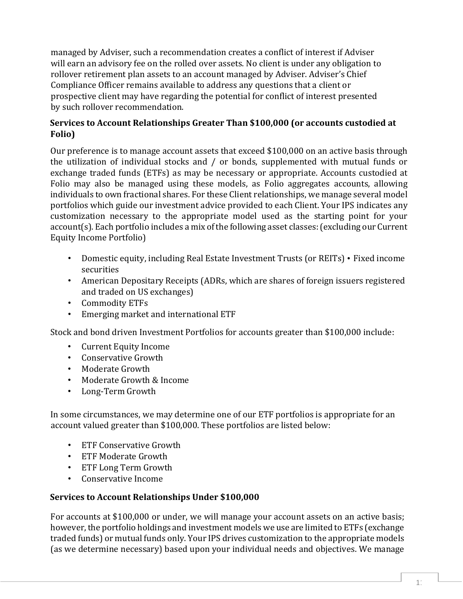managed by Adviser, such a recommendation creates a conflict of interest if Adviser will earn an advisory fee on the rolled over assets. No client is under any obligation to rollover retirement plan assets to an account managed by Adviser. Adviser's Chief Compliance Officer remains available to address any questions that a client or prospective client may have regarding the potential for conflict of interest presented by such rollover recommendation.

#### **Services to Account Relationships Greater Than \$100,000 (or accounts custodied at Folio)**

Our preference is to manage account assets that exceed \$100,000 on an active basis through the utilization of individual stocks and / or bonds, supplemented with mutual funds or exchange traded funds (ETFs) as may be necessary or appropriate. Accounts custodied at Folio may also be managed using these models, as Folio aggregates accounts, allowing individuals to own fractional shares. For these Client relationships, we manage several model portfolios which guide our investment advice provided to each Client. Your IPS indicates any customization necessary to the appropriate model used as the starting point for your account(s). Each portfolio includes a mix of the following asset classes: (excluding our Current Equity Income Portfolio)

- Domestic equity, including Real Estate Investment Trusts (or REITs) Fixed income securities
- American Depositary Receipts (ADRs, which are shares of foreign issuers registered and traded on US exchanges)
- Commodity ETFs
- Emerging market and international ETF

Stock and bond driven Investment Portfolios for accounts greater than \$100,000 include:

- Current Equity Income
- Conservative Growth
- Moderate Growth
- Moderate Growth & Income
- Long-Term Growth

In some circumstances, we may determine one of our ETF portfolios is appropriate for an account valued greater than \$100,000. These portfolios are listed below:

- ETF Conservative Growth
- ETF Moderate Growth
- ETF Long Term Growth
- Conservative Income

#### **Services to Account Relationships Under \$100,000**

For accounts at \$100,000 or under, we will manage your account assets on an active basis; however, the portfolio holdings and investment models we use are limited to ETFs (exchange traded funds) or mutual funds only. Your IPS drives customization to the appropriate models (as we determine necessary) based upon your individual needs and objectives. We manage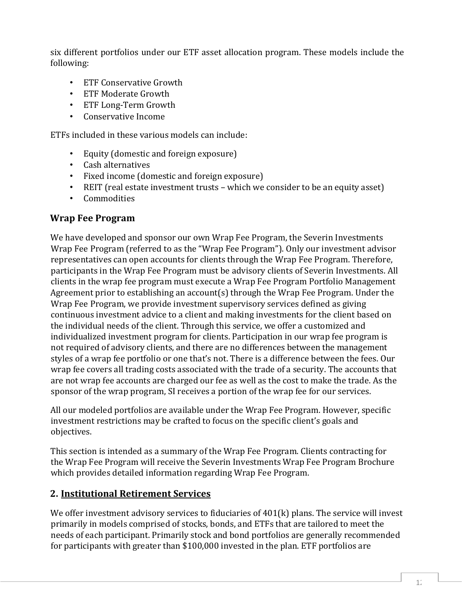six different portfolios under our ETF asset allocation program. These models include the following:

- ETF Conservative Growth
- ETF Moderate Growth
- ETF Long-Term Growth
- Conservative Income

ETFs included in these various models can include:

- Equity (domestic and foreign exposure)
- Cash alternatives
- Fixed income (domestic and foreign exposure)
- REIT (real estate investment trusts which we consider to be an equity asset)
- Commodities

### **Wrap Fee Program**

We have developed and sponsor our own Wrap Fee Program, the Severin Investments Wrap Fee Program (referred to as the "Wrap Fee Program"). Only our investment advisor representatives can open accounts for clients through the Wrap Fee Program. Therefore, participants in the Wrap Fee Program must be advisory clients of Severin Investments. All clients in the wrap fee program must execute a Wrap Fee Program Portfolio Management Agreement prior to establishing an account(s) through the Wrap Fee Program. Under the Wrap Fee Program, we provide investment supervisory services defined as giving continuous investment advice to a client and making investments for the client based on the individual needs of the client. Through this service, we offer a customized and individualized investment program for clients. Participation in our wrap fee program is not required of advisory clients, and there are no differences between the management styles of a wrap fee portfolio or one that's not. There is a difference between the fees. Our wrap fee covers all trading costs associated with the trade of a security. The accounts that are not wrap fee accounts are charged our fee as well as the cost to make the trade. As the sponsor of the wrap program, SI receives a portion of the wrap fee for our services.

All our modeled portfolios are available under the Wrap Fee Program. However, specific investment restrictions may be crafted to focus on the specific client's goals and objectives.

This section is intended as a summary of the Wrap Fee Program. Clients contracting for the Wrap Fee Program will receive the Severin Investments Wrap Fee Program Brochure which provides detailed information regarding Wrap Fee Program.

# **2. Institutional Retirement Services**

We offer investment advisory services to fiduciaries of 401(k) plans. The service will invest primarily in models comprised of stocks, bonds, and ETFs that are tailored to meet the needs of each participant. Primarily stock and bond portfolios are generally recommended for participants with greater than \$100,000 invested in the plan. ETF portfolios are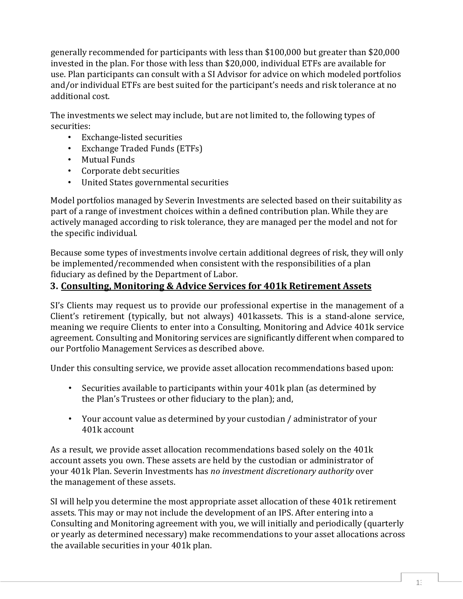generally recommended for participants with less than \$100,000 but greater than \$20,000 invested in the plan. For those with less than \$20,000, individual ETFs are available for use. Plan participants can consult with a SI Advisor for advice on which modeled portfolios and/or individual ETFs are best suited for the participant's needs and risk tolerance at no additional cost.

The investments we select may include, but are not limited to, the following types of securities:<br>Canadian Conservation Conservation Conservation Conservation Conservation Conservation Conservation Conservati

- Exchange-listed securities
- Exchange Traded Funds (ETFs)
- Mutual Funds
- Corporate debt securities
- United States governmental securities

Model portfolios managed by Severin Investments are selected based on their suitability as part of a range of investment choices within a defined contribution plan. While they are actively managed according to risk tolerance, they are managed per the model and not for the specific individual.

Because some types of investments involve certain additional degrees of risk, they will only be implemented/recommended when consistent with the responsibilities of a plan fiduciary as defined by the Department of Labor.

# **3. Consulting, Monitoring & Advice Services for 401k Retirement Assets**

SI's Clients may request us to provide our professional expertise in the management of a Client's retirement (typically, but not always) 401kassets. This is a stand-alone service, meaning we require Clients to enter into a Consulting, Monitoring and Advice 401k service agreement. Consulting and Monitoring services are significantly different when compared to our Portfolio Management Services as described above.

Under this consulting service, we provide asset allocation recommendations based upon:

- Securities available to participants within your 401k plan (as determined by the Plan's Trustees or other fiduciary to the plan); and,
- Your account value as determined by your custodian / administrator of your 401k account

As a result, we provide asset allocation recommendations based solely on the 401k account assets you own. These assets are held by the custodian or administrator of your 401k Plan. Severin Investments has *no investment discretionary authority* over the management of these assets.

SI will help you determine the most appropriate asset allocation of these 401k retirement assets. This may or may not include the development of an IPS. After entering into a Consulting and Monitoring agreement with you, we will initially and periodically (quarterly or yearly as determined necessary) make recommendations to your asset allocations across the available securities in your 401k plan.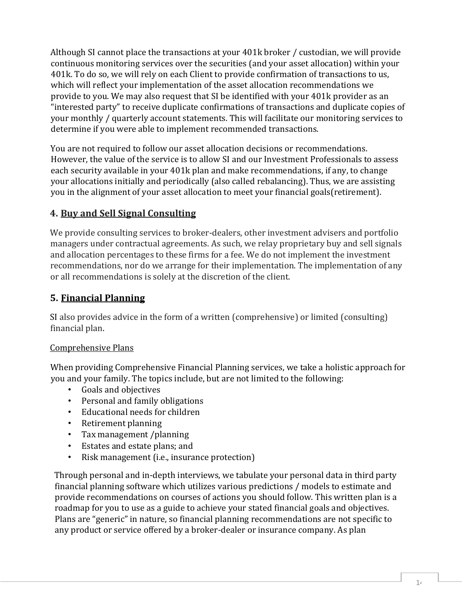Although SI cannot place the transactions at your 401k broker / custodian, we will provide continuous monitoring services over the securities (and your asset allocation) within your 401k. To do so, we will rely on each Client to provide confirmation of transactions to us, which will reflect your implementation of the asset allocation recommendations we provide to you. We may also request that SI be identified with your 401k provider as an "interested party" to receive duplicate confirmations of transactions and duplicate copies of your monthly / quarterly account statements. This will facilitate our monitoring services to determine if you were able to implement recommended transactions.

You are not required to follow our asset allocation decisions or recommendations. However, the value of the service is to allow SI and our Investment Professionals to assess each security available in your 401k plan and make recommendations, if any, to change your allocations initially and periodically (also called rebalancing). Thus, we are assisting you in the alignment of your asset allocation to meet your financial goals(retirement).

# **4. Buy and Sell Signal Consulting**

We provide consulting services to broker-dealers, other investment advisers and portfolio managers under contractual agreements. As such, we relay proprietary buy and sell signals and allocation percentages to these firms for a fee. We do not implement the investment recommendations, nor do we arrange for their implementation. The implementation of any or all recommendations is solely at the discretion of the client.

# **5. Financial Planning**

SI also provides advice in the form of a written (comprehensive) or limited (consulting) financial plan.

#### Comprehensive Plans

When providing Comprehensive Financial Planning services, we take a holistic approach for you and your family. The topics include, but are not limited to the following:

- Goals and objectives
- Personal and family obligations
- Educational needs for children
- Retirement planning
- Tax management /planning
- Estates and estate plans; and<br>• Risk management (i.e., insura
- Risk management (i.e., insurance protection)

Through personal and in-depth interviews, we tabulate your personal data in third party financial planning software which utilizes various predictions / models to estimate and provide recommendations on courses of actions you should follow. This written plan is a roadmap for you to use as a guide to achieve your stated financial goals and objectives. Plans are "generic" in nature, so financial planning recommendations are not specific to any product or service offered by a broker-dealer or insurance company. As plan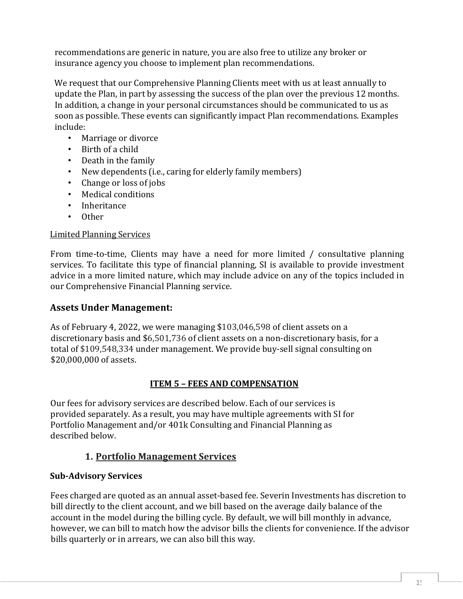recommendations are generic in nature, you are also free to utilize any broker or insurance agency you choose to implement plan recommendations.

We request that our Comprehensive Planning Clients meet with us at least annually to update the Plan, in part by assessing the success of the plan over the previous 12 months. In addition, a change in your personal circumstances should be communicated to us as soon as possible. These events can significantly impact Plan recommendations. Examples include:

- Marriage or divorce
- Birth of a child
- Death in the family
- New dependents (i.e., caring for elderly family members)
- Change or loss of jobs
- Medical conditions
- Inheritance
- Other

#### Limited Planning Services

From time-to-time, Clients may have a need for more limited / consultative planning services. To facilitate this type of financial planning, SI is available to provide investment advice in a more limited nature, which may include advice on any of the topics included in our Comprehensive Financial Planning service.

#### **Assets Under Management:**

As of February 4, 2022, we were managing \$103,046,598 of client assets on a discretionary basis and \$6,501,736 of client assets on a non-discretionary basis, for a total of \$109,548,334 under management. We provide buy-sell signal consulting on \$20,000,000 of assets.

#### **ITEM 5 – FEES AND COMPENSATION**

Our fees for advisory services are described below. Each of our services is provided separately. As a result, you may have multiple agreements with SI for Portfolio Management and/or 401k Consulting and Financial Planning as described below.

# **1. Portfolio Management Services**

# **Sub-Advisory Services**

Fees charged are quoted as an annual asset-based fee. Severin Investments has discretion to bill directly to the client account, and we bill based on the average daily balance of the account in the model during the billing cycle. By default, we will bill monthly in advance, however, we can bill to match how the advisor bills the clients for convenience. If the advisor bills quarterly or in arrears, we can also bill this way.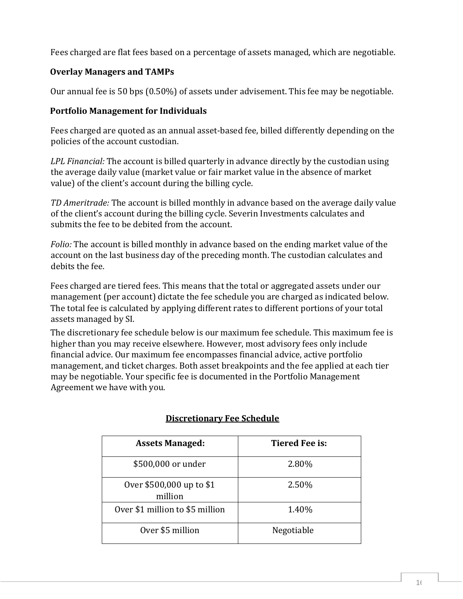Fees charged are flat fees based on a percentage of assets managed, which are negotiable.

# **Overlay Managers and TAMPs**

Our annual fee is 50 bps (0.50%) of assets under advisement. This fee may be negotiable.

#### **Portfolio Management for Individuals**

Fees charged are quoted as an annual asset-based fee, billed differently depending on the policies of the account custodian.

*LPL Financial:* The account is billed quarterly in advance directly by the custodian using the average daily value (market value or fair market value in the absence of market value) of the client's account during the billing cycle.

*TD Ameritrade:* The account is billed monthly in advance based on the average daily value of the client's account during the billing cycle. Severin Investments calculates and submits the fee to be debited from the account.

*Folio:* The account is billed monthly in advance based on the ending market value of the account on the last business day of the preceding month. The custodian calculates and debits the fee.

Fees charged are tiered fees. This means that the total or aggregated assets under our management (per account) dictate the fee schedule you are charged as indicated below. The total fee is calculated by applying different rates to different portions of your total assets managed by SI.

The discretionary fee schedule below is our maximum fee schedule. This maximum fee is higher than you may receive elsewhere. However, most advisory fees only include financial advice. Our maximum fee encompasses financial advice, active portfolio management, and ticket charges. Both asset breakpoints and the fee applied at each tier may be negotiable. Your specific fee is documented in the Portfolio Management Agreement we have with you.

| <b>Assets Managed:</b>              | <b>Tiered Fee is:</b> |
|-------------------------------------|-----------------------|
| \$500,000 or under                  | 2.80%                 |
| Over \$500,000 up to \$1<br>million | 2.50%                 |
| Over \$1 million to \$5 million     | 1.40%                 |
| Over \$5 million                    | Negotiable            |

#### **Discretionary Fee Schedule**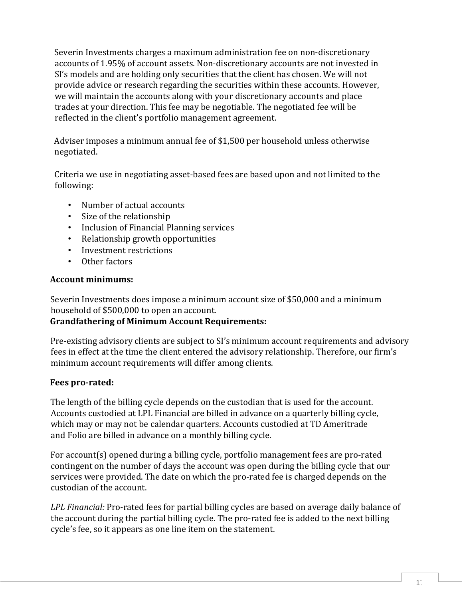Severin Investments charges a maximum administration fee on non-discretionary accounts of 1.95% of account assets. Non-discretionary accounts are not invested in SI's models and are holding only securities that the client has chosen. We will not provide advice or research regarding the securities within these accounts. However, we will maintain the accounts along with your discretionary accounts and place trades at your direction. This fee may be negotiable. The negotiated fee will be reflected in the client's portfolio management agreement.

Adviser imposes a minimum annual fee of \$1,500 per household unless otherwise negotiated.

Criteria we use in negotiating asset-based fees are based upon and not limited to the following:

- Number of actual accounts
- Size of the relationship
- Inclusion of Financial Planning services
- Relationship growth opportunities
- Investment restrictions
- Other factors

#### **Account minimums:**

Severin Investments does impose a minimum account size of \$50,000 and a minimum household of \$500,000 to open an account.

#### **Grandfathering of Minimum Account Requirements:**

Pre-existing advisory clients are subject to SI's minimum account requirements and advisory fees in effect at the time the client entered the advisory relationship. Therefore, our firm's minimum account requirements will differ among clients.

#### **Fees pro-rated:**

The length of the billing cycle depends on the custodian that is used for the account. Accounts custodied at LPL Financial are billed in advance on a quarterly billing cycle, which may or may not be calendar quarters. Accounts custodied at TD Ameritrade and Folio are billed in advance on a monthly billing cycle.

For account(s) opened during a billing cycle, portfolio management fees are pro-rated contingent on the number of days the account was open during the billing cycle that our services were provided. The date on which the pro-rated fee is charged depends on the custodian of the account.

*LPL Financial:* Pro-rated fees for partial billing cycles are based on average daily balance of the account during the partial billing cycle. The pro-rated fee is added to the next billing cycle's fee, so it appears as one line item on the statement.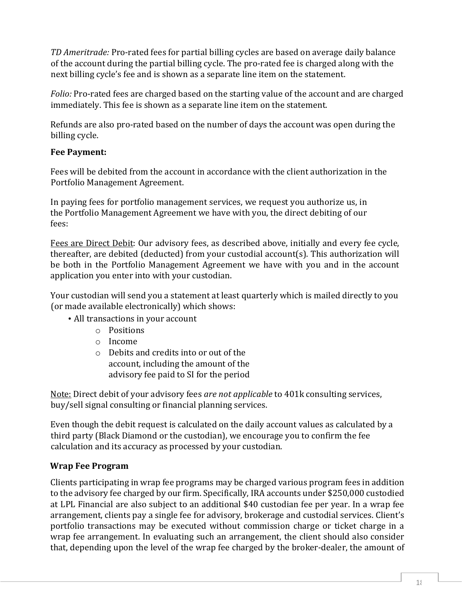*TD Ameritrade:* Pro-rated fees for partial billing cycles are based on average daily balance of the account during the partial billing cycle. The pro-rated fee is charged along with the next billing cycle's fee and is shown as a separate line item on the statement.

*Folio:* Pro-rated fees are charged based on the starting value of the account and are charged immediately. This fee is shown as a separate line item on the statement.

Refunds are also pro-rated based on the number of days the account was open during the billing cycle.

#### **Fee Payment:**

Fees will be debited from the account in accordance with the client authorization in the Portfolio Management Agreement.

In paying fees for portfolio management services, we request you authorize us, in the Portfolio Management Agreement we have with you, the direct debiting of our fees:

Fees are Direct Debit: Our advisory fees, as described above, initially and every fee cycle, thereafter, are debited (deducted) from your custodial account(s). This authorization will be both in the Portfolio Management Agreement we have with you and in the account application you enter into with your custodian.

Your custodian will send you a statement at least quarterly which is mailed directly to you (or made available electronically) which shows:

- All transactions in your account
	- o Positions
	- o Income
	- o Debits and credits into or out of the account, including the amount of the advisory fee paid to SI for the period

Note: Direct debit of your advisory fees *are not applicable* to 401k consulting services, buy/sell signal consulting or financial planning services.

Even though the debit request is calculated on the daily account values as calculated by a third party (Black Diamond or the custodian), we encourage you to confirm the fee calculation and its accuracy as processed by your custodian.

# **Wrap Fee Program**

Clients participating in wrap fee programs may be charged various program fees in addition to the advisory fee charged by our firm. Specifically, IRA accounts under \$250,000 custodied at LPL Financial are also subject to an additional \$40 custodian fee per year. In a wrap fee arrangement, clients pay a single fee for advisory, brokerage and custodial services. Client's portfolio transactions may be executed without commission charge or ticket charge in a wrap fee arrangement. In evaluating such an arrangement, the client should also consider that, depending upon the level of the wrap fee charged by the broker-dealer, the amount of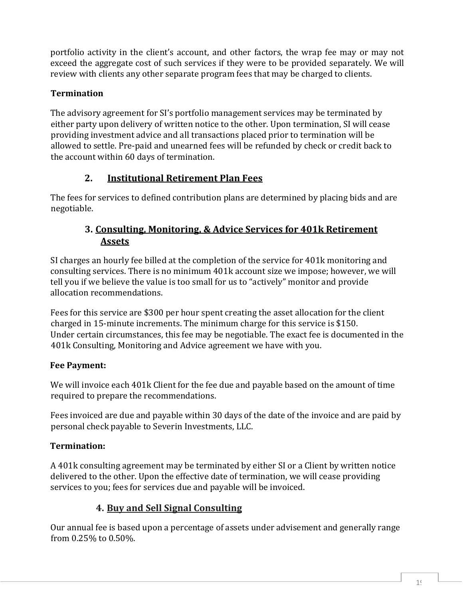portfolio activity in the client's account, and other factors, the wrap fee may or may not exceed the aggregate cost of such services if they were to be provided separately. We will review with clients any other separate program fees that may be charged to clients.

# **Termination**

The advisory agreement for SI's portfolio management services may be terminated by either party upon delivery of written notice to the other. Upon termination, SI will cease providing investment advice and all transactions placed prior to termination will be allowed to settle. Pre-paid and unearned fees will be refunded by check or credit back to the account within 60 days of termination.

# **2. Institutional Retirement Plan Fees**

The fees for services to defined contribution plans are determined by placing bids and are negotiable.

# **3. Consulting, Monitoring, & Advice Services for 401k Retirement Assets**

SI charges an hourly fee billed at the completion of the service for 401k monitoring and consulting services. There is no minimum 401k account size we impose; however, we will tell you if we believe the value is too small for us to "actively" monitor and provide allocation recommendations.

Fees for this service are \$300 per hour spent creating the asset allocation for the client charged in 15-minute increments. The minimum charge for this service is \$150. Under certain circumstances, this fee may be negotiable. The exact fee is documented in the 401k Consulting, Monitoring and Advice agreement we have with you.

# **Fee Payment:**

We will invoice each 401k Client for the fee due and payable based on the amount of time required to prepare the recommendations.

Fees invoiced are due and payable within 30 days of the date of the invoice and are paid by personal check payable to Severin Investments, LLC.

# **Termination:**

A 401k consulting agreement may be terminated by either SI or a Client by written notice delivered to the other. Upon the effective date of termination, we will cease providing services to you; fees for services due and payable will be invoiced.

# **4. Buy and Sell Signal Consulting**

Our annual fee is based upon a percentage of assets under advisement and generally range from 0.25% to 0.50%.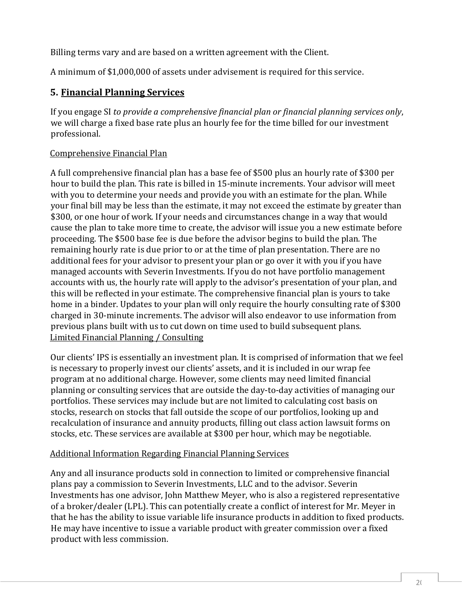Billing terms vary and are based on a written agreement with the Client.

A minimum of \$1,000,000 of assets under advisement is required for this service.

# **5. Financial Planning Services**

If you engage SI *to provide a comprehensive financial plan or financial planning services only*, we will charge a fixed base rate plus an hourly fee for the time billed for our investment professional.

#### Comprehensive Financial Plan

A full comprehensive financial plan has a base fee of \$500 plus an hourly rate of \$300 per hour to build the plan. This rate is billed in 15-minute increments. Your advisor will meet with you to determine your needs and provide you with an estimate for the plan. While your final bill may be less than the estimate, it may not exceed the estimate by greater than \$300, or one hour of work. If your needs and circumstances change in a way that would cause the plan to take more time to create, the advisor will issue you a new estimate before proceeding. The \$500 base fee is due before the advisor begins to build the plan. The remaining hourly rate is due prior to or at the time of plan presentation. There are no additional fees for your advisor to present your plan or go over it with you if you have managed accounts with Severin Investments. If you do not have portfolio management accounts with us, the hourly rate will apply to the advisor's presentation of your plan, and this will be reflected in your estimate. The comprehensive financial plan is yours to take home in a binder. Updates to your plan will only require the hourly consulting rate of \$300 charged in 30-minute increments. The advisor will also endeavor to use information from previous plans built with us to cut down on time used to build subsequent plans. Limited Financial Planning / Consulting

Our clients' IPS is essentially an investment plan. It is comprised of information that we feel is necessary to properly invest our clients' assets, and it is included in our wrap fee program at no additional charge. However, some clients may need limited financial planning or consulting services that are outside the day-to-day activities of managing our portfolios. These services may include but are not limited to calculating cost basis on stocks, research on stocks that fall outside the scope of our portfolios, looking up and recalculation of insurance and annuity products, filling out class action lawsuit forms on stocks, etc. These services are available at \$300 per hour, which may be negotiable.

#### Additional Information Regarding Financial Planning Services

Any and all insurance products sold in connection to limited or comprehensive financial plans pay a commission to Severin Investments, LLC and to the advisor. Severin Investments has one advisor, John Matthew Meyer, who is also a registered representative of a broker/dealer (LPL). This can potentially create a conflict of interest for Mr. Meyer in that he has the ability to issue variable life insurance products in addition to fixed products. He may have incentive to issue a variable product with greater commission over a fixed product with less commission.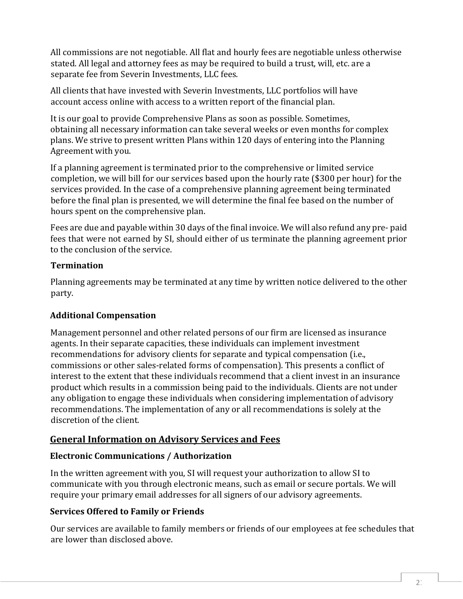All commissions are not negotiable. All flat and hourly fees are negotiable unless otherwise stated. All legal and attorney fees as may be required to build a trust, will, etc. are a separate fee from Severin Investments, LLC fees.

All clients that have invested with Severin Investments, LLC portfolios will have account access online with access to a written report of the financial plan.

It is our goal to provide Comprehensive Plans as soon as possible. Sometimes, obtaining all necessary information can take several weeks or even months for complex plans. We strive to present written Plans within 120 days of entering into the Planning Agreement with you.

If a planning agreement is terminated prior to the comprehensive or limited service completion, we will bill for our services based upon the hourly rate (\$300 per hour) for the services provided. In the case of a comprehensive planning agreement being terminated before the final plan is presented, we will determine the final fee based on the number of hours spent on the comprehensive plan.

Fees are due and payable within 30 days of the final invoice. We will also refund any pre- paid fees that were not earned by SI, should either of us terminate the planning agreement prior to the conclusion of the service.

### **Termination**

Planning agreements may be terminated at any time by written notice delivered to the other party.

# **Additional Compensation**

Management personnel and other related persons of our firm are licensed as insurance agents. In their separate capacities, these individuals can implement investment recommendations for advisory clients for separate and typical compensation (i.e., commissions or other sales-related forms of compensation). This presents a conflict of interest to the extent that these individuals recommend that a client invest in an insurance product which results in a commission being paid to the individuals. Clients are not under any obligation to engage these individuals when considering implementation of advisory recommendations. The implementation of any or all recommendations is solely at the discretion of the client.

# **General Information on Advisory Services and Fees**

# **Electronic Communications / Authorization**

In the written agreement with you, SI will request your authorization to allow SI to communicate with you through electronic means, such as email or secure portals. We will require your primary email addresses for all signers of our advisory agreements.

# **Services Offered to Family or Friends**

Our services are available to family members or friends of our employees at fee schedules that are lower than disclosed above.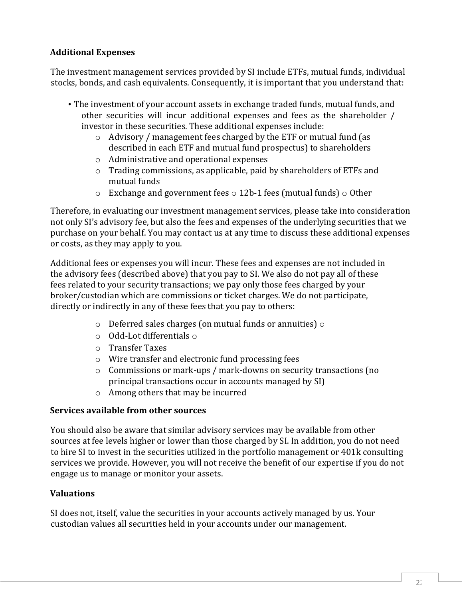### **Additional Expenses**

The investment management services provided by SI include ETFs, mutual funds, individual stocks, bonds, and cash equivalents. Consequently, it is important that you understand that:

- The investment of your account assets in exchange traded funds, mutual funds, and other securities will incur additional expenses and fees as the shareholder / investor in these securities. These additional expenses include:
	- o Advisory / management fees charged by the ETF or mutual fund (as described in each ETF and mutual fund prospectus) to shareholders
	- o Administrative and operational expenses
	- o Trading commissions, as applicable, paid by shareholders of ETFs and mutual funds
	- $\circ$  Exchange and government fees  $\circ$  12b-1 fees (mutual funds)  $\circ$  0ther

Therefore, in evaluating our investment management services, please take into consideration not only SI's advisory fee, but also the fees and expenses of the underlying securities that we purchase on your behalf. You may contact us at any time to discuss these additional expenses or costs, as they may apply to you.

Additional fees or expenses you will incur. These fees and expenses are not included in the advisory fees (described above) that you pay to SI. We also do not pay all of these fees related to your security transactions; we pay only those fees charged by your broker/custodian which are commissions or ticket charges. We do not participate, directly or indirectly in any of these fees that you pay to others:

- $\circ$  Deferred sales charges (on mutual funds or annuities)  $\circ$
- o Odd-Lot differentials o
- o Transfer Taxes
- o Wire transfer and electronic fund processing fees
- o Commissions or mark-ups / mark-downs on security transactions (no principal transactions occur in accounts managed by SI)
- o Among others that may be incurred

#### **Services available from other sources**

You should also be aware that similar advisory services may be available from other sources at fee levels higher or lower than those charged by SI. In addition, you do not need to hire SI to invest in the securities utilized in the portfolio management or 401k consulting services we provide. However, you will not receive the benefit of our expertise if you do not engage us to manage or monitor your assets.

# **Valuations**

SI does not, itself, value the securities in your accounts actively managed by us. Your custodian values all securities held in your accounts under our management.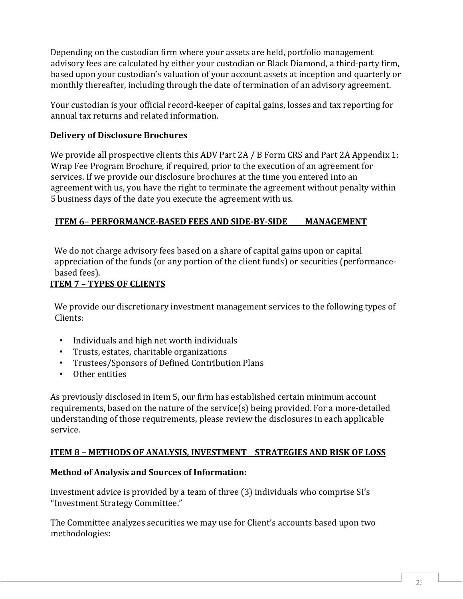Depending on the custodian firm where your assets are held, portfolio management advisory fees are calculated by either your custodian or Black Diamond, a third-party firm, based upon your custodian's valuation of your account assets at inception and quarterly or monthly thereafter, including through the date of termination of an advisory agreement.

Your custodian is your official record-keeper of capital gains, losses and tax reporting for annual tax returns and related information.

#### **Delivery of Disclosure Brochures**

We provide all prospective clients this ADV Part 2A / B Form CRS and Part 2A Appendix 1: Wrap Fee Program Brochure, if required, prior to the execution of an agreement for services. If we provide our disclosure brochures at the time you entered into an agreement with us, you have the right to terminate the agreement without penalty within 5 business days of the date you execute the agreement with us.

#### **ITEM 6– PERFORMANCE-BASED FEES AND SIDE-BY-SIDE MANAGEMENT**

We do not charge advisory fees based on a share of capital gains upon or capital appreciation of the funds (or any portion of the client funds) or securities (performancebased fees).

#### **ITEM 7 – TYPES OF CLIENTS**

We provide our discretionary investment management services to the following types of Clients:

- Individuals and high net worth individuals
- Trusts, estates, charitable organizations<br>• Trustees/Sponsors of Defined Contributi
- Trustees/Sponsors of Defined Contribution Plans<br>• Other entities
- Other entities

As previously disclosed in Item 5, our firm has established certain minimum account requirements, based on the nature of the service(s) being provided. For a more-detailed understanding of those requirements, please review the disclosures in each applicable service.

# **ITEM 8 – METHODS OF ANALYSIS, INVESTMENT STRATEGIES AND RISK OF LOSS**

#### **Method of Analysis and Sources of Information:**

Investment advice is provided by a team of three (3) individuals who comprise SI's "Investment Strategy Committee."

The Committee analyzes securities we may use for Client's accounts based upon two methodologies: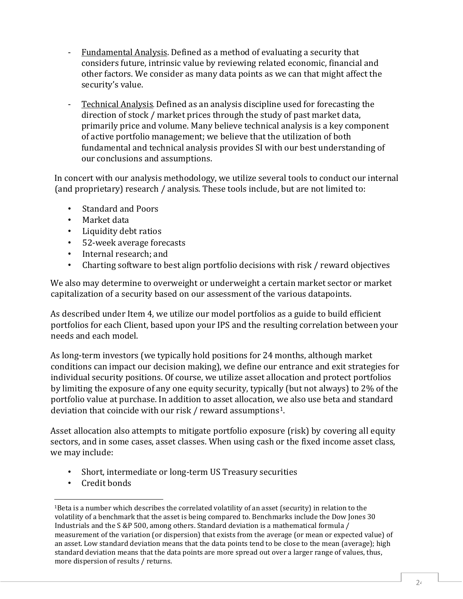- Fundamental Analysis. Defined as a method of evaluating a security that considers future, intrinsic value by reviewing related economic, financial and other factors. We consider as many data points as we can that might affect the security's value.
- Technical Analysis. Defined as an analysis discipline used for forecasting the direction of stock / market prices through the study of past market data, primarily price and volume. Many believe technical analysis is a key component of active portfolio management; we believe that the utilization of both fundamental and technical analysis provides SI with our best understanding of our conclusions and assumptions.

In concert with our analysis methodology, we utilize several tools to conduct our internal (and proprietary) research / analysis. These tools include, but are not limited to:

- Standard and Poors<br>• Market data
- Market data
- Liquidity debt ratios
- 52-week average forecasts<br>• Internal research: and
- Internal research; and
- Charting software to best align portfolio decisions with risk / reward objectives

We also may determine to overweight or underweight a certain market sector or market capitalization of a security based on our assessment of the various datapoints.

As described under Item 4, we utilize our model portfolios as a guide to build efficient portfolios for each Client, based upon your IPS and the resulting correlation between your needs and each model.

As long-term investors (we typically hold positions for 24 months, although market conditions can impact our decision making), we define our entrance and exit strategies for individual security positions. Of course, we utilize asset allocation and protect portfolios by limiting the exposure of any one equity security, typically (but not always) to 2% of the portfolio value at purchase. In addition to asset allocation, we also use beta and standard deviation that coincide with our risk / reward assumptions<sup>1</sup>.

Asset allocation also attempts to mitigate portfolio exposure (risk) by covering all equity sectors, and in some cases, asset classes. When using cash or the fixed income asset class, we may include:

- Short, intermediate or long-term US Treasury securities
- Credit bonds

<span id="page-23-0"></span><sup>1</sup>Beta is a number which describes the correlated volatility of an asset (security) in relation to the volatility of a benchmark that the asset is being compared to. Benchmarks include the Dow Jones 30 Industrials and the S &P 500, among others. Standard deviation is a mathematical formula / measurement of the variation (or dispersion) that exists from the average (or mean or expected value) of an asset. Low standard deviation means that the data points tend to be close to the mean (average); high standard deviation means that the data points are more spread out over a larger range of values, thus, more dispersion of results / returns.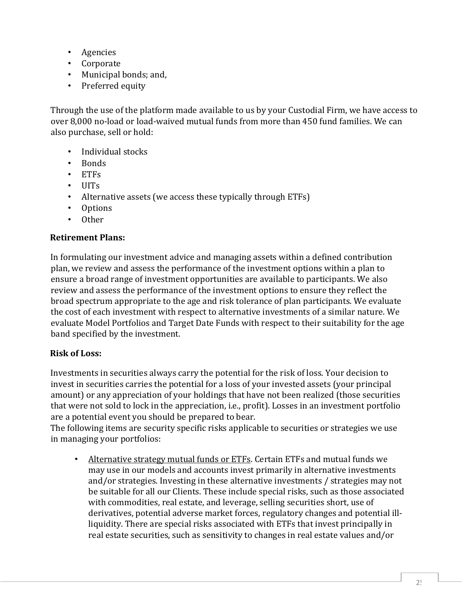- Agencies
- Corporate
- Municipal bonds; and,
- Preferred equity

Through the use of the platform made available to us by your Custodial Firm, we have access to over 8,000 no-load or load-waived mutual funds from more than 450 fund families. We can also purchase, sell or hold:

- Individual stocks<br>• Bonds
- Bonds
- ETFs
- UITs
- Alternative assets (we access these typically through ETFs)
- Options<br>• Other
- Other

#### **Retirement Plans:**

In formulating our investment advice and managing assets within a defined contribution plan, we review and assess the performance of the investment options within a plan to ensure a broad range of investment opportunities are available to participants. We also review and assess the performance of the investment options to ensure they reflect the broad spectrum appropriate to the age and risk tolerance of plan participants. We evaluate the cost of each investment with respect to alternative investments of a similar nature. We evaluate Model Portfolios and Target Date Funds with respect to their suitability for the age band specified by the investment.

#### **Risk of Loss:**

Investments in securities always carry the potential for the risk of loss. Your decision to invest in securities carries the potential for a loss of your invested assets (your principal amount) or any appreciation of your holdings that have not been realized (those securities that were not sold to lock in the appreciation, i.e., profit). Losses in an investment portfolio are a potential event you should be prepared to bear.

The following items are security specific risks applicable to securities or strategies we use in managing your portfolios:

• Alternative strategy mutual funds or ETFs. Certain ETFs and mutual funds we may use in our models and accounts invest primarily in alternative investments and/or strategies. Investing in these alternative investments / strategies may not be suitable for all our Clients. These include special risks, such as those associated with commodities, real estate, and leverage, selling securities short, use of derivatives, potential adverse market forces, regulatory changes and potential illliquidity. There are special risks associated with ETFs that invest principally in real estate securities, such as sensitivity to changes in real estate values and/or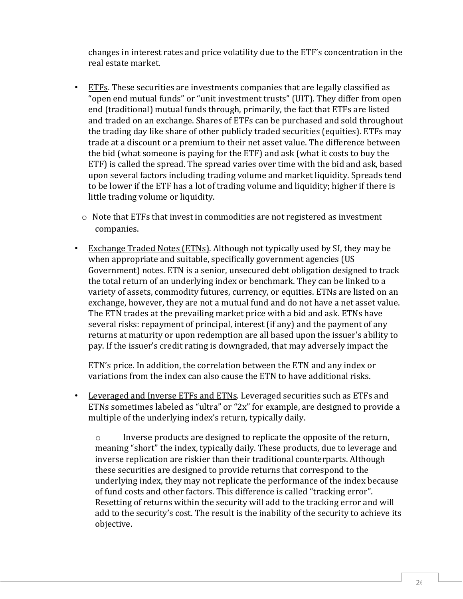changes in interest rates and price volatility due to the ETF's concentration in the real estate market.

- ETFs. These securities are investments companies that are legally classified as "open end mutual funds" or "unit investment trusts" (UIT). They differ from open end (traditional) mutual funds through, primarily, the fact that ETFs are listed and traded on an exchange. Shares of ETFs can be purchased and sold throughout the trading day like share of other publicly traded securities (equities). ETFs may trade at a discount or a premium to their net asset value. The difference between the bid (what someone is paying for the ETF) and ask (what it costs to buy the ETF) is called the spread. The spread varies over time with the bid and ask, based upon several factors including trading volume and market liquidity. Spreads tend to be lower if the ETF has a lot of trading volume and liquidity; higher if there is little trading volume or liquidity.
	- $\circ$  Note that ETFs that invest in commodities are not registered as investment companies.
- Exchange Traded Notes (ETNs). Although not typically used by SI, they may be when appropriate and suitable, specifically government agencies (US Government) notes. ETN is a senior, unsecured debt obligation designed to track the total return of an underlying index or benchmark. They can be linked to a variety of assets, commodity futures, currency, or equities. ETNs are listed on an exchange, however, they are not a mutual fund and do not have a net asset value. The ETN trades at the prevailing market price with a bid and ask. ETNs have several risks: repayment of principal, interest (if any) and the payment of any returns at maturity or upon redemption are all based upon the issuer's ability to pay. If the issuer's credit rating is downgraded, that may adversely impact the

ETN's price. In addition, the correlation between the ETN and any index or variations from the index can also cause the ETN to have additional risks.

• Leveraged and Inverse ETFs and ETNs. Leveraged securities such as ETFs and ETNs sometimes labeled as "ultra" or "2x" for example, are designed to provide a multiple of the underlying index's return, typically daily.

o Inverse products are designed to replicate the opposite of the return, meaning "short" the index, typically daily. These products, due to leverage and inverse replication are riskier than their traditional counterparts. Although these securities are designed to provide returns that correspond to the underlying index, they may not replicate the performance of the index because of fund costs and other factors. This difference is called "tracking error". Resetting of returns within the security will add to the tracking error and will add to the security's cost. The result is the inability of the security to achieve its objective.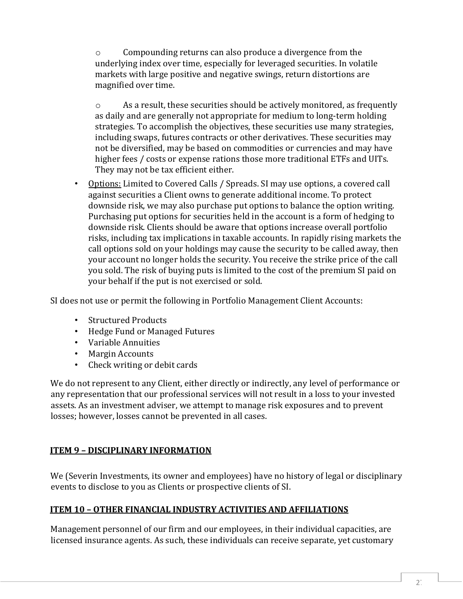o Compounding returns can also produce a divergence from the underlying index over time, especially for leveraged securities. In volatile markets with large positive and negative swings, return distortions are magnified over time.

o As a result, these securities should be actively monitored, as frequently as daily and are generally not appropriate for medium to long-term holding strategies. To accomplish the objectives, these securities use many strategies, including swaps, futures contracts or other derivatives. These securities may not be diversified, may be based on commodities or currencies and may have higher fees / costs or expense rations those more traditional ETFs and UITs. They may not be tax efficient either.

• Options: Limited to Covered Calls / Spreads. SI may use options, a covered call against securities a Client owns to generate additional income. To protect downside risk, we may also purchase put options to balance the option writing. Purchasing put options for securities held in the account is a form of hedging to downside risk. Clients should be aware that options increase overall portfolio risks, including tax implications in taxable accounts. In rapidly rising markets the call options sold on your holdings may cause the security to be called away, then your account no longer holds the security. You receive the strike price of the call you sold. The risk of buying puts is limited to the cost of the premium SI paid on your behalf if the put is not exercised or sold.

SI does not use or permit the following in Portfolio Management Client Accounts:

- Structured Products
- Hedge Fund or Managed Futures
- Variable Annuities
- **Margin Accounts**
- Check writing or debit cards

We do not represent to any Client, either directly or indirectly, any level of performance or any representation that our professional services will not result in a loss to your invested assets. As an investment adviser, we attempt to manage risk exposures and to prevent losses; however, losses cannot be prevented in all cases.

#### **ITEM 9 – DISCIPLINARY INFORMATION**

We (Severin Investments, its owner and employees) have no history of legal or disciplinary events to disclose to you as Clients or prospective clients of SI.

#### **ITEM 10 – OTHER FINANCIAL INDUSTRY ACTIVITIES AND AFFILIATIONS**

Management personnel of our firm and our employees, in their individual capacities, are licensed insurance agents. As such, these individuals can receive separate, yet customary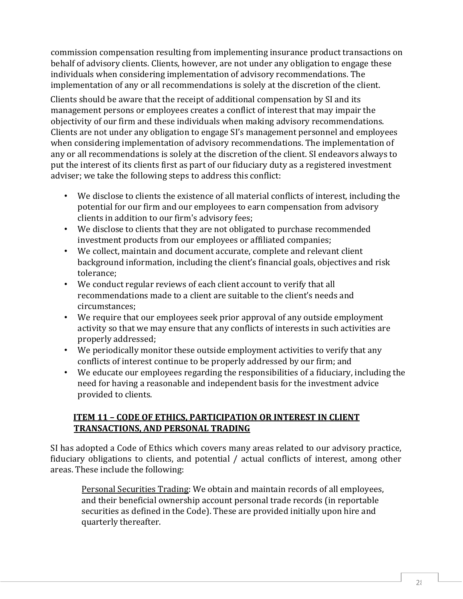commission compensation resulting from implementing insurance product transactions on behalf of advisory clients. Clients, however, are not under any obligation to engage these individuals when considering implementation of advisory recommendations. The implementation of any or all recommendations is solely at the discretion of the client.

Clients should be aware that the receipt of additional compensation by SI and its management persons or employees creates a conflict of interest that may impair the objectivity of our firm and these individuals when making advisory recommendations. Clients are not under any obligation to engage SI's management personnel and employees when considering implementation of advisory recommendations. The implementation of any or all recommendations is solely at the discretion of the client. SI endeavors always to put the interest of its clients first as part of our fiduciary duty as a registered investment adviser; we take the following steps to address this conflict:

- We disclose to clients the existence of all material conflicts of interest, including the potential for our firm and our employees to earn compensation from advisory clients in addition to our firm's advisory fees;
- We disclose to clients that they are not obligated to purchase recommended investment products from our employees or affiliated companies;
- We collect, maintain and document accurate, complete and relevant client background information, including the client's financial goals, objectives and risk tolerance;
- We conduct regular reviews of each client account to verify that all recommendations made to a client are suitable to the client's needs and circumstances;
- We require that our employees seek prior approval of any outside employment activity so that we may ensure that any conflicts of interests in such activities are properly addressed;
- We periodically monitor these outside employment activities to verify that any conflicts of interest continue to be properly addressed by our firm; and
- We educate our employees regarding the responsibilities of a fiduciary, including the need for having a reasonable and independent basis for the investment advice provided to clients.

#### **ITEM 11 – CODE OF ETHICS, PARTICIPATION OR INTEREST IN CLIENT TRANSACTIONS, AND PERSONAL TRADING**

SI has adopted a Code of Ethics which covers many areas related to our advisory practice, fiduciary obligations to clients, and potential / actual conflicts of interest, among other areas. These include the following:

Personal Securities Trading: We obtain and maintain records of all employees, and their beneficial ownership account personal trade records (in reportable securities as defined in the Code). These are provided initially upon hire and quarterly thereafter.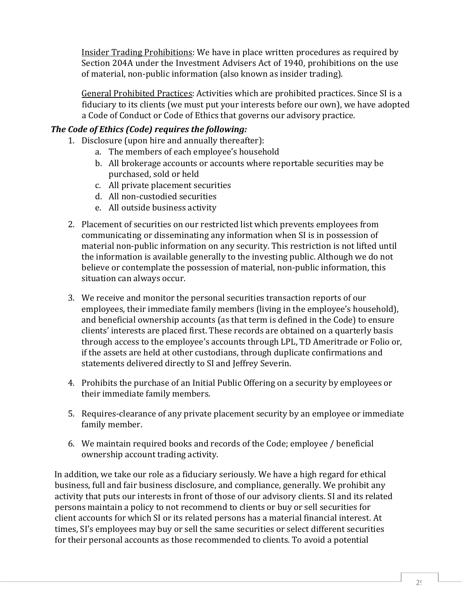Insider Trading Prohibitions: We have in place written procedures as required by Section 204A under the Investment Advisers Act of 1940, prohibitions on the use of material, non-public information (also known as insider trading).

General Prohibited Practices: Activities which are prohibited practices. Since SI is a fiduciary to its clients (we must put your interests before our own), we have adopted a Code of Conduct or Code of Ethics that governs our advisory practice.

# *The Code of Ethics (Code) requires the following:*

- 1. Disclosure (upon hire and annually thereafter):
	- a. The members of each employee's household
	- b. All brokerage accounts or accounts where reportable securities may be purchased, sold or held
	- c. All private placement securities
	- d. All non-custodied securities
	- e. All outside business activity
- 2. Placement of securities on our restricted list which prevents employees from communicating or disseminating any information when SI is in possession of material non-public information on any security. This restriction is not lifted until the information is available generally to the investing public. Although we do not believe or contemplate the possession of material, non-public information, this situation can always occur.
- 3. We receive and monitor the personal securities transaction reports of our employees, their immediate family members (living in the employee's household), and beneficial ownership accounts (as that term is defined in the Code) to ensure clients' interests are placed first. These records are obtained on a quarterly basis through access to the employee's accounts through LPL, TD Ameritrade or Folio or, if the assets are held at other custodians, through duplicate confirmations and statements delivered directly to SI and Jeffrey Severin.
- 4. Prohibits the purchase of an Initial Public Offering on a security by employees or their immediate family members.
- 5. Requires-clearance of any private placement security by an employee or immediate family member.
- 6. We maintain required books and records of the Code; employee / beneficial ownership account trading activity.

In addition, we take our role as a fiduciary seriously. We have a high regard for ethical business, full and fair business disclosure, and compliance, generally. We prohibit any activity that puts our interests in front of those of our advisory clients. SI and its related persons maintain a policy to not recommend to clients or buy or sell securities for client accounts for which SI or its related persons has a material financial interest. At times, SI's employees may buy or sell the same securities or select different securities for their personal accounts as those recommended to clients. To avoid a potential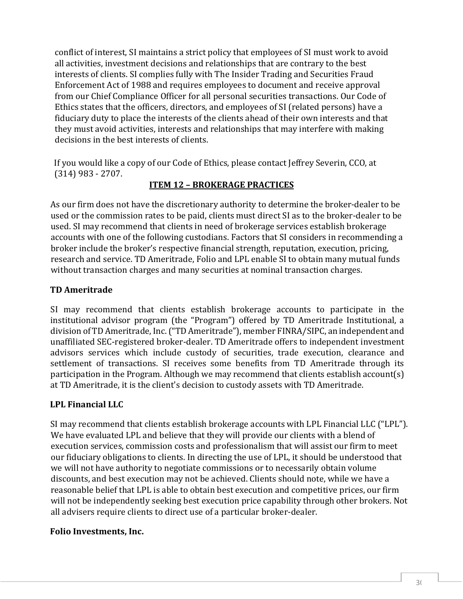conflict of interest, SI maintains a strict policy that employees of SI must work to avoid all activities, investment decisions and relationships that are contrary to the best interests of clients. SI complies fully with The Insider Trading and Securities Fraud Enforcement Act of 1988 and requires employees to document and receive approval from our Chief Compliance Officer for all personal securities transactions. Our Code of Ethics states that the officers, directors, and employees of SI (related persons) have a fiduciary duty to place the interests of the clients ahead of their own interests and that they must avoid activities, interests and relationships that may interfere with making decisions in the best interests of clients.

If you would like a copy of our Code of Ethics, please contact Jeffrey Severin, CCO, at (314) 983 - 2707.

#### **ITEM 12 – BROKERAGE PRACTICES**

As our firm does not have the discretionary authority to determine the broker-dealer to be used or the commission rates to be paid, clients must direct SI as to the broker-dealer to be used. SI may recommend that clients in need of brokerage services establish brokerage accounts with one of the following custodians. Factors that SI considers in recommending a broker include the broker's respective financial strength, reputation, execution, pricing, research and service. TD Ameritrade, Folio and LPL enable SI to obtain many mutual funds without transaction charges and many securities at nominal transaction charges.

#### **TD Ameritrade**

SI may recommend that clients establish brokerage accounts to participate in the institutional advisor program (the "Program") offered by TD Ameritrade Institutional, a division of TD Ameritrade, Inc. ("TD Ameritrade"), member FINRA/SIPC, an independent and unaffiliated SEC-registered broker-dealer. TD Ameritrade offers to independent investment advisors services which include custody of securities, trade execution, clearance and settlement of transactions. SI receives some benefits from TD Ameritrade through its participation in the Program. Although we may recommend that clients establish account(s) at TD Ameritrade, it is the client's decision to custody assets with TD Ameritrade.

#### **LPL Financial LLC**

SI may recommend that clients establish brokerage accounts with LPL Financial LLC ("LPL"). We have evaluated LPL and believe that they will provide our clients with a blend of execution services, commission costs and professionalism that will assist our firm to meet our fiduciary obligations to clients. In directing the use of LPL, it should be understood that we will not have authority to negotiate commissions or to necessarily obtain volume discounts, and best execution may not be achieved. Clients should note, while we have a reasonable belief that LPL is able to obtain best execution and competitive prices, our firm will not be independently seeking best execution price capability through other brokers. Not all advisers require clients to direct use of a particular broker-dealer.

#### **Folio Investments, Inc.**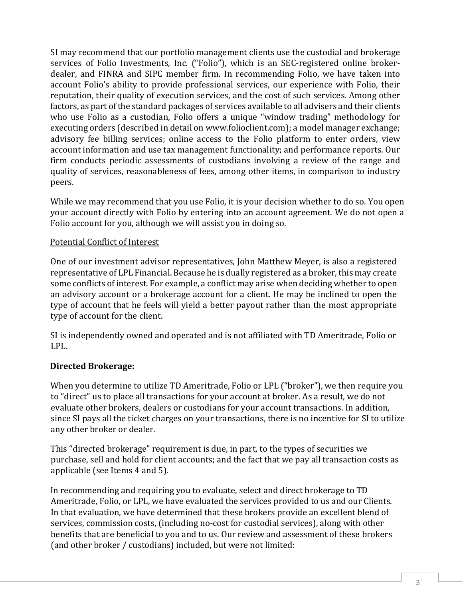SI may recommend that our portfolio management clients use the custodial and brokerage services of Folio Investments, Inc. ("Folio"), which is an SEC-registered online brokerdealer, and FINRA and SIPC member firm. In recommending Folio, we have taken into account Folio's ability to provide professional services, our experience with Folio, their reputation, their quality of execution services, and the cost of such services. Among other factors, as part of the standard packages of services available to all advisers and their clients who use Folio as a custodian, Folio offers a unique "window trading" methodology for executing orders (described in detail on www.folioclient.com); a model manager exchange; advisory fee billing services; online access to the Folio platform to enter orders, view account information and use tax management functionality; and performance reports. Our firm conducts periodic assessments of custodians involving a review of the range and quality of services, reasonableness of fees, among other items, in comparison to industry peers.

While we may recommend that you use Folio, it is your decision whether to do so. You open your account directly with Folio by entering into an account agreement. We do not open a Folio account for you, although we will assist you in doing so.

#### Potential Conflict of Interest

One of our investment advisor representatives, John Matthew Meyer, is also a registered representative of LPL Financial. Because he is dually registered as a broker, this may create some conflicts of interest. For example, a conflict may arise when deciding whether to open an advisory account or a brokerage account for a client. He may be inclined to open the type of account that he feels will yield a better payout rather than the most appropriate type of account for the client.

SI is independently owned and operated and is not affiliated with TD Ameritrade, Folio or LPL.

#### **Directed Brokerage:**

When you determine to utilize TD Ameritrade, Folio or LPL ("broker"), we then require you to "direct" us to place all transactions for your account at broker. As a result, we do not evaluate other brokers, dealers or custodians for your account transactions. In addition, since SI pays all the ticket charges on your transactions, there is no incentive for SI to utilize any other broker or dealer.

This "directed brokerage" requirement is due, in part, to the types of securities we purchase, sell and hold for client accounts; and the fact that we pay all transaction costs as applicable (see Items 4 and 5).

In recommending and requiring you to evaluate, select and direct brokerage to TD Ameritrade, Folio, or LPL, we have evaluated the services provided to us and our Clients. In that evaluation, we have determined that these brokers provide an excellent blend of services, commission costs, (including no-cost for custodial services), along with other benefits that are beneficial to you and to us. Our review and assessment of these brokers (and other broker / custodians) included, but were not limited: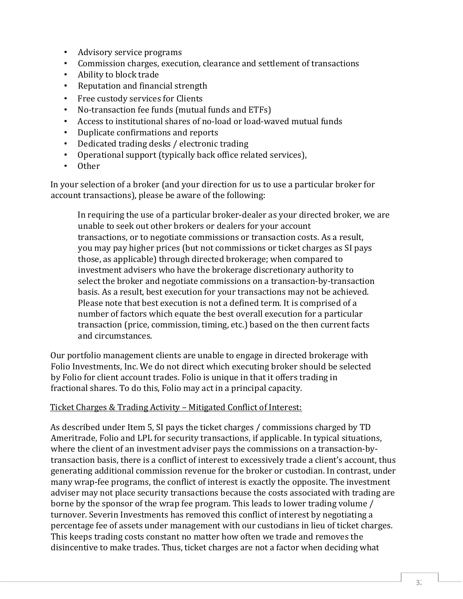- Advisory service programs<br>• Commission charges, execu
- Commission charges, execution, clearance and settlement of transactions<br>• Ability to block trade
- Ability to block trade
- Reputation and financial strength
- Free custody services for Clients
- No-transaction fee funds (mutual funds and ETFs)
- Access to institutional shares of no-load or load-waved mutual funds<br>• Dunlicate confirmations and renorts
- Duplicate confirmations and reports
- Dedicated trading desks / electronic trading
- Operational support (typically back office related services),<br>• Other
- Other

In your selection of a broker (and your direction for us to use a particular broker for account transactions), please be aware of the following:

In requiring the use of a particular broker-dealer as your directed broker, we are unable to seek out other brokers or dealers for your account transactions, or to negotiate commissions or transaction costs. As a result, you may pay higher prices (but not commissions or ticket charges as SI pays those, as applicable) through directed brokerage; when compared to investment advisers who have the brokerage discretionary authority to select the broker and negotiate commissions on a transaction-by-transaction basis. As a result, best execution for your transactions may not be achieved. Please note that best execution is not a defined term. It is comprised of a number of factors which equate the best overall execution for a particular transaction (price, commission, timing, etc.) based on the then current facts and circumstances.

Our portfolio management clients are unable to engage in directed brokerage with Folio Investments, Inc. We do not direct which executing broker should be selected by Folio for client account trades. Folio is unique in that it offers trading in fractional shares. To do this, Folio may act in a principal capacity.

#### Ticket Charges & Trading Activity – Mitigated Conflict of Interest:

As described under Item 5, SI pays the ticket charges / commissions charged by TD Ameritrade, Folio and LPL for security transactions, if applicable. In typical situations, where the client of an investment adviser pays the commissions on a transaction-bytransaction basis, there is a conflict of interest to excessively trade a client's account, thus generating additional commission revenue for the broker or custodian. In contrast, under many wrap-fee programs, the conflict of interest is exactly the opposite. The investment adviser may not place security transactions because the costs associated with trading are borne by the sponsor of the wrap fee program. This leads to lower trading volume / turnover. Severin Investments has removed this conflict of interest by negotiating a percentage fee of assets under management with our custodians in lieu of ticket charges. This keeps trading costs constant no matter how often we trade and removes the disincentive to make trades. Thus, ticket charges are not a factor when deciding what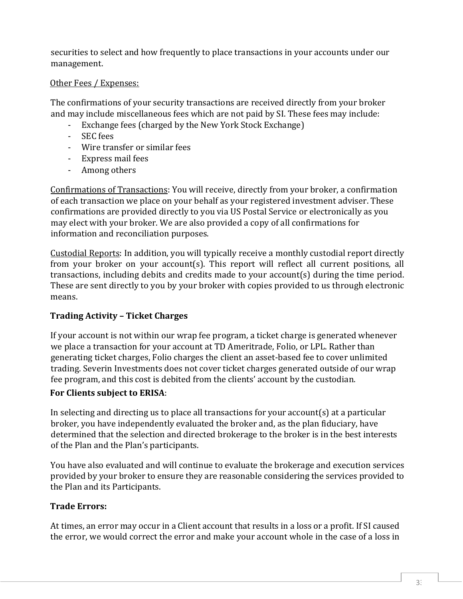securities to select and how frequently to place transactions in your accounts under our management.

#### Other Fees / Expenses:

The confirmations of your security transactions are received directly from your broker and may include miscellaneous fees which are not paid by SI. These fees may include:

- Exchange fees (charged by the New York Stock Exchange)
- SEC fees
- Wire transfer or similar fees
- Express mail fees
- Among others

Confirmations of Transactions: You will receive, directly from your broker, a confirmation of each transaction we place on your behalf as your registered investment adviser. These confirmations are provided directly to you via US Postal Service or electronically as you may elect with your broker. We are also provided a copy of all confirmations for information and reconciliation purposes.

Custodial Reports: In addition, you will typically receive a monthly custodial report directly from your broker on your account(s). This report will reflect all current positions, all transactions, including debits and credits made to your account(s) during the time period. These are sent directly to you by your broker with copies provided to us through electronic means.

# **Trading Activity – Ticket Charges**

If your account is not within our wrap fee program, a ticket charge is generated whenever we place a transaction for your account at TD Ameritrade, Folio, or LPL. Rather than generating ticket charges, Folio charges the client an asset-based fee to cover unlimited trading. Severin Investments does not cover ticket charges generated outside of our wrap fee program, and this cost is debited from the clients' account by the custodian.

#### **For Clients subject to ERISA**:

In selecting and directing us to place all transactions for your account(s) at a particular broker, you have independently evaluated the broker and, as the plan fiduciary, have determined that the selection and directed brokerage to the broker is in the best interests of the Plan and the Plan's participants.

You have also evaluated and will continue to evaluate the brokerage and execution services provided by your broker to ensure they are reasonable considering the services provided to the Plan and its Participants.

# **Trade Errors:**

At times, an error may occur in a Client account that results in a loss or a profit. If SI caused the error, we would correct the error and make your account whole in the case of a loss in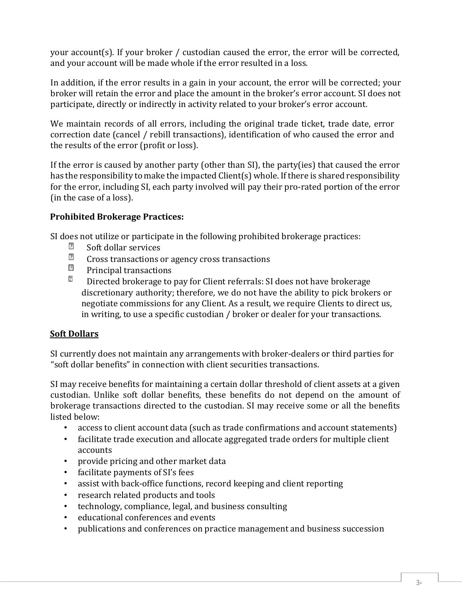your account(s). If your broker / custodian caused the error, the error will be corrected, and your account will be made whole if the error resulted in a loss.

In addition, if the error results in a gain in your account, the error will be corrected; your broker will retain the error and place the amount in the broker's error account. SI does not participate, directly or indirectly in activity related to your broker's error account.

We maintain records of all errors, including the original trade ticket, trade date, error correction date (cancel / rebill transactions), identification of who caused the error and the results of the error (profit or loss).

If the error is caused by another party (other than SI), the party(ies) that caused the error has the responsibility to make the impacted Client(s) whole. If there is shared responsibility for the error, including SI, each party involved will pay their pro-rated portion of the error (in the case of a loss).

### **Prohibited Brokerage Practices:**

SI does not utilize or participate in the following prohibited brokerage practices:<br>  $\boxed{2}$  Soft dollar services

- Soft dollar services
- $\overline{2}$ Cross transactions or agency cross transactions
- $\boxed{2}$ Principal transactions
- $\overline{2}$ Directed brokerage to pay for Client referrals: SI does not have brokerage discretionary authority; therefore, we do not have the ability to pick brokers or negotiate commissions for any Client. As a result, we require Clients to direct us, in writing, to use a specific custodian / broker or dealer for your transactions.

#### **Soft Dollars**

SI currently does not maintain any arrangements with broker-dealers or third parties for "soft dollar benefits" in connection with client securities transactions.

SI may receive benefits for maintaining a certain dollar threshold of client assets at a given custodian. Unlike soft dollar benefits, these benefits do not depend on the amount of brokerage transactions directed to the custodian. SI may receive some or all the benefits listed below:<br>• access

- access to client account data (such as trade confirmations and account statements)
- facilitate trade execution and allocate aggregated trade orders for multiple client accounts
- provide pricing and other market data
- facilitate payments of SI's fees
- assist with back-office functions, record keeping and client reporting
- research related products and tools
- technology, compliance, legal, and business consulting
- educational conferences and events
- publications and conferences on practice management and business succession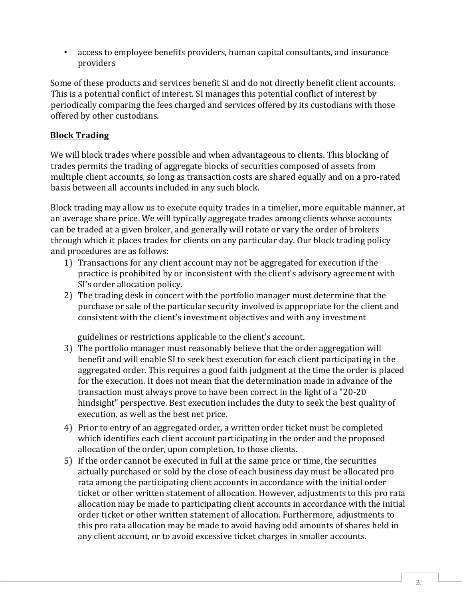• access to employee benefits providers, human capital consultants, and insurance providers

Some of these products and services benefit SI and do not directly benefit client accounts. This is a potential conflict of interest. SI manages this potential conflict of interest by periodically comparing the fees charged and services offered by its custodians with those offered by other custodians.

# **Block Trading**

We will block trades where possible and when advantageous to clients. This blocking of trades permits the trading of aggregate blocks of securities composed of assets from multiple client accounts, so long as transaction costs are shared equally and on a pro-rated basis between all accounts included in any such block.

Block trading may allow us to execute equity trades in a timelier, more equitable manner, at an average share price. We will typically aggregate trades among clients whose accounts can be traded at a given broker, and generally will rotate or vary the order of brokers through which it places trades for clients on any particular day. Our block trading policy and procedures are as follows:

- 1) Transactions for any client account may not be aggregated for execution if the practice is prohibited by or inconsistent with the client's advisory agreement with SI's order allocation policy.
- 2) The trading desk in concert with the portfolio manager must determine that the purchase or sale of the particular security involved is appropriate for the client and consistent with the client's investment objectives and with any investment

guidelines or restrictions applicable to the client's account.

- 3) The portfolio manager must reasonably believe that the order aggregation will benefit and will enable SI to seek best execution for each client participating in the aggregated order. This requires a good faith judgment at the time the order is placed for the execution. It does not mean that the determination made in advance of the transaction must always prove to have been correct in the light of a "20-20 hindsight" perspective. Best execution includes the duty to seek the best quality of execution, as well as the best net price.
- 4) Prior to entry of an aggregated order, a written order ticket must be completed which identifies each client account participating in the order and the proposed allocation of the order, upon completion, to those clients.
- 5) If the order cannot be executed in full at the same price or time, the securities actually purchased or sold by the close of each business day must be allocated pro rata among the participating client accounts in accordance with the initial order ticket or other written statement of allocation. However, adjustments to this pro rata allocation may be made to participating client accounts in accordance with the initial order ticket or other written statement of allocation. Furthermore, adjustments to this pro rata allocation may be made to avoid having odd amounts of shares held in any client account, or to avoid excessive ticket charges in smaller accounts.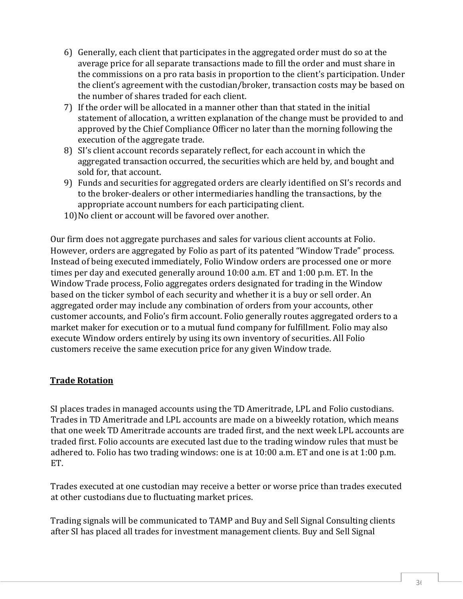- 6) Generally, each client that participates in the aggregated order must do so at the average price for all separate transactions made to fill the order and must share in the commissions on a pro rata basis in proportion to the client's participation. Under the client's agreement with the custodian/broker, transaction costs may be based on the number of shares traded for each client.
- 7) If the order will be allocated in a manner other than that stated in the initial statement of allocation, a written explanation of the change must be provided to and approved by the Chief Compliance Officer no later than the morning following the execution of the aggregate trade.
- 8) SI's client account records separately reflect, for each account in which the aggregated transaction occurred, the securities which are held by, and bought and sold for, that account.
- 9) Funds and securities for aggregated orders are clearly identified on SI's records and to the broker-dealers or other intermediaries handling the transactions, by the appropriate account numbers for each participating client.
- 10)No client or account will be favored over another.

Our firm does not aggregate purchases and sales for various client accounts at Folio. However, orders are aggregated by Folio as part of its patented "Window Trade" process. Instead of being executed immediately, Folio Window orders are processed one or more times per day and executed generally around 10:00 a.m. ET and 1:00 p.m. ET. In the Window Trade process, Folio aggregates orders designated for trading in the Window based on the ticker symbol of each security and whether it is a buy or sell order. An aggregated order may include any combination of orders from your accounts, other customer accounts, and Folio's firm account. Folio generally routes aggregated orders to a market maker for execution or to a mutual fund company for fulfillment. Folio may also execute Window orders entirely by using its own inventory of securities. All Folio customers receive the same execution price for any given Window trade.

#### **Trade Rotation**

SI places trades in managed accounts using the TD Ameritrade, LPL and Folio custodians. Trades in TD Ameritrade and LPL accounts are made on a biweekly rotation, which means that one week TD Ameritrade accounts are traded first, and the next week LPL accounts are traded first. Folio accounts are executed last due to the trading window rules that must be adhered to. Folio has two trading windows: one is at 10:00 a.m. ET and one is at 1:00 p.m. ET.

Trades executed at one custodian may receive a better or worse price than trades executed at other custodians due to fluctuating market prices.

Trading signals will be communicated to TAMP and Buy and Sell Signal Consulting clients after SI has placed all trades for investment management clients. Buy and Sell Signal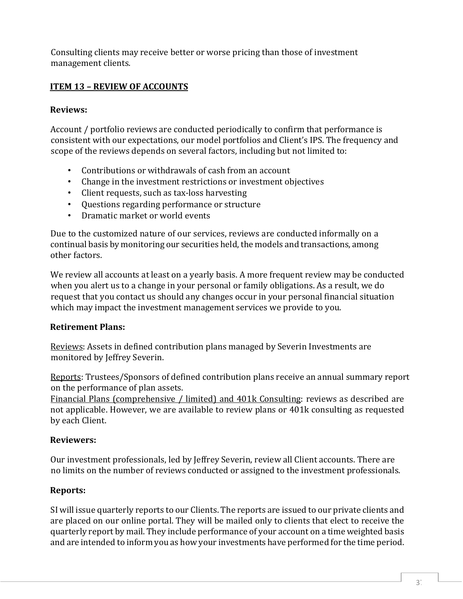Consulting clients may receive better or worse pricing than those of investment management clients.

## **ITEM 13 – REVIEW OF ACCOUNTS**

#### **Reviews:**

Account / portfolio reviews are conducted periodically to confirm that performance is consistent with our expectations, our model portfolios and Client's IPS. The frequency and scope of the reviews depends on several factors, including but not limited to:

- Contributions or withdrawals of cash from an account
- Change in the investment restrictions or investment objectives
- Client requests, such as tax-loss harvesting
- Questions regarding performance or structure
- Dramatic market or world events

Due to the customized nature of our services, reviews are conducted informally on a continual basis by monitoring our securities held, the models and transactions, among other factors.

We review all accounts at least on a yearly basis. A more frequent review may be conducted when you alert us to a change in your personal or family obligations. As a result, we do request that you contact us should any changes occur in your personal financial situation which may impact the investment management services we provide to you.

#### **Retirement Plans:**

Reviews: Assets in defined contribution plans managed by Severin Investments are monitored by Jeffrey Severin.

Reports: Trustees/Sponsors of defined contribution plans receive an annual summary report on the performance of plan assets.

Financial Plans (comprehensive / limited) and 401k Consulting: reviews as described are not applicable. However, we are available to review plans or 401k consulting as requested by each Client.

#### **Reviewers:**

Our investment professionals, led by Jeffrey Severin, review all Client accounts. There are no limits on the number of reviews conducted or assigned to the investment professionals.

#### **Reports:**

SI will issue quarterly reports to our Clients. The reports are issued to our private clients and are placed on our online portal. They will be mailed only to clients that elect to receive the quarterly report by mail. They include performance of your account on a time weighted basis and are intended to inform you as how your investments have performed for the time period.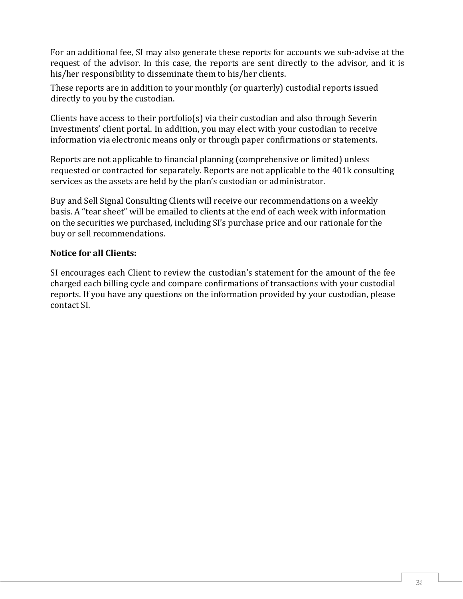For an additional fee, SI may also generate these reports for accounts we sub-advise at the request of the advisor. In this case, the reports are sent directly to the advisor, and it is his/her responsibility to disseminate them to his/her clients.

These reports are in addition to your monthly (or quarterly) custodial reports issued directly to you by the custodian.

Clients have access to their portfolio(s) via their custodian and also through Severin Investments' client portal. In addition, you may elect with your custodian to receive information via electronic means only or through paper confirmations or statements.

Reports are not applicable to financial planning (comprehensive or limited) unless requested or contracted for separately. Reports are not applicable to the 401k consulting services as the assets are held by the plan's custodian or administrator.

Buy and Sell Signal Consulting Clients will receive our recommendations on a weekly basis. A "tear sheet" will be emailed to clients at the end of each week with information on the securities we purchased, including SI's purchase price and our rationale for the buy or sell recommendations.

#### **Notice for all Clients:**

SI encourages each Client to review the custodian's statement for the amount of the fee charged each billing cycle and compare confirmations of transactions with your custodial reports. If you have any questions on the information provided by your custodian, please contact SI.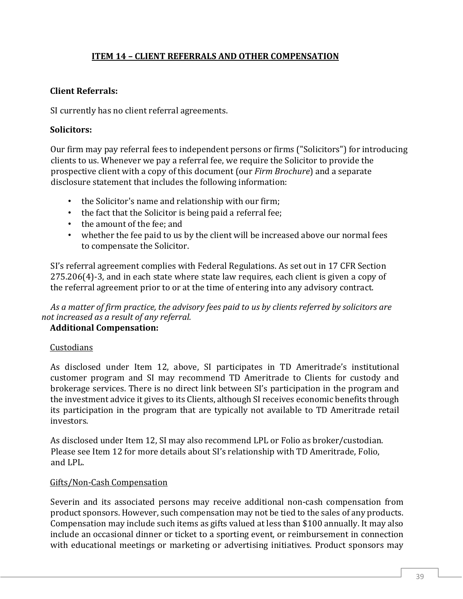#### **ITEM 14 – CLIENT REFERRALS AND OTHER COMPENSATION**

#### **Client Referrals:**

SI currently has no client referral agreements.

#### **Solicitors:**

Our firm may pay referral fees to independent persons or firms ("Solicitors") for introducing clients to us. Whenever we pay a referral fee, we require the Solicitor to provide the prospective client with a copy of this document (our *Firm Brochure*) and a separate disclosure statement that includes the following information:

- the Solicitor's name and relationship with our firm;
- the fact that the Solicitor is being paid a referral fee;
- the amount of the fee; and
- whether the fee paid to us by the client will be increased above our normal fees to compensate the Solicitor.

SI's referral agreement complies with Federal Regulations. As set out in 17 CFR Section 275.206(4)-3, and in each state where state law requires, each client is given a copy of the referral agreement prior to or at the time of entering into any advisory contract.

*As a matter of firm practice, the advisory fees paid to us by clients referred by solicitors are not increased as a result of any referral.* 

#### **Additional Compensation:**

#### **Custodians**

As disclosed under Item 12, above, SI participates in TD Ameritrade's institutional customer program and SI may recommend TD Ameritrade to Clients for custody and brokerage services. There is no direct link between SI's participation in the program and the investment advice it gives to its Clients, although SI receives economic benefits through its participation in the program that are typically not available to TD Ameritrade retail investors.

As disclosed under Item 12, SI may also recommend LPL or Folio as broker/custodian. Please see Item 12 for more details about SI's relationship with TD Ameritrade, Folio, and LPL.

#### Gifts/Non-Cash Compensation

Severin and its associated persons may receive additional non-cash compensation from product sponsors. However, such compensation may not be tied to the sales of any products. Compensation may include such items as gifts valued at less than \$100 annually. It may also include an occasional dinner or ticket to a sporting event, or reimbursement in connection with educational meetings or marketing or advertising initiatives. Product sponsors may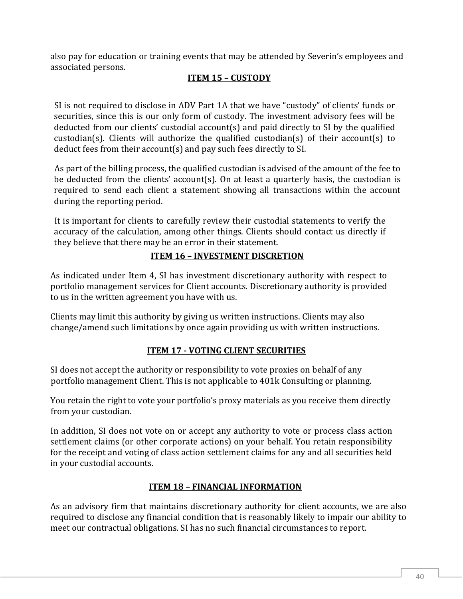also pay for education or training events that may be attended by Severin's employees and associated persons.

### **ITEM 15 – CUSTODY**

SI is not required to disclose in ADV Part 1A that we have "custody" of clients' funds or securities, since this is our only form of custody. The investment advisory fees will be deducted from our clients' custodial account(s) and paid directly to SI by the qualified custodian(s). Clients will authorize the qualified custodian(s) of their account(s) to deduct fees from their account(s) and pay such fees directly to SI.

As part of the billing process, the qualified custodian is advised of the amount of the fee to be deducted from the clients' account(s). On at least a quarterly basis, the custodian is required to send each client a statement showing all transactions within the account during the reporting period.

It is important for clients to carefully review their custodial statements to verify the accuracy of the calculation, among other things. Clients should contact us directly if they believe that there may be an error in their statement.

#### **ITEM 16 – INVESTMENT DISCRETION**

As indicated under Item 4, SI has investment discretionary authority with respect to portfolio management services for Client accounts. Discretionary authority is provided to us in the written agreement you have with us.

Clients may limit this authority by giving us written instructions. Clients may also change/amend such limitations by once again providing us with written instructions.

#### **ITEM 17 - VOTING CLIENT SECURITIES**

SI does not accept the authority or responsibility to vote proxies on behalf of any portfolio management Client. This is not applicable to 401k Consulting or planning.

You retain the right to vote your portfolio's proxy materials as you receive them directly from your custodian.

In addition, SI does not vote on or accept any authority to vote or process class action settlement claims (or other corporate actions) on your behalf. You retain responsibility for the receipt and voting of class action settlement claims for any and all securities held in your custodial accounts.

#### **ITEM 18 – FINANCIAL INFORMATION**

As an advisory firm that maintains discretionary authority for client accounts, we are also required to disclose any financial condition that is reasonably likely to impair our ability to meet our contractual obligations. SI has no such financial circumstances to report.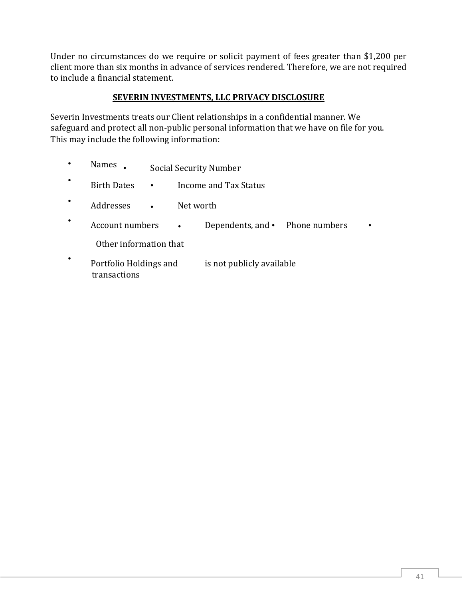Under no circumstances do we require or solicit payment of fees greater than \$1,200 per client more than six months in advance of services rendered. Therefore, we are not required to include a financial statement.

#### **SEVERIN INVESTMENTS, LLC PRIVACY DISCLOSURE**

Severin Investments treats our Client relationships in a confidential manner. We safeguard and protect all non-public personal information that we have on file for you. This may include the following information:

|           | <b>Names</b>                           | <b>Social Security Number</b>      |                           |                                       |  |  |
|-----------|----------------------------------------|------------------------------------|---------------------------|---------------------------------------|--|--|
| $\bullet$ | <b>Birth Dates</b>                     | Income and Tax Status<br>$\bullet$ |                           |                                       |  |  |
|           | Addresses                              | Net worth<br>$\bullet$             |                           |                                       |  |  |
|           | Account numbers                        |                                    | $\bullet$                 | Dependents, and $\cdot$ Phone numbers |  |  |
|           | Other information that                 |                                    |                           |                                       |  |  |
| ٠         | Portfolio Holdings and<br>transactions |                                    | is not publicly available |                                       |  |  |